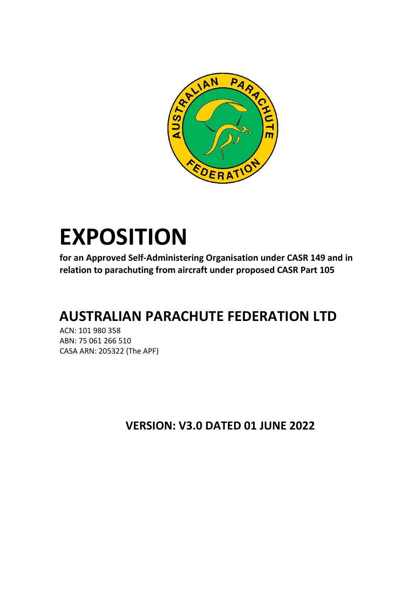

# **EXPOSITION**

**for an Approved Self-Administering Organisation under CASR 149 and in relation to parachuting from aircraft under proposed CASR Part 105**

# **AUSTRALIAN PARACHUTE FEDERATION LTD**

ACN: 101 980 358 ABN: 75 061 266 510 CASA ARN: 205322 (The APF)

**VERSION: V3.0 DATED 01 JUNE 2022**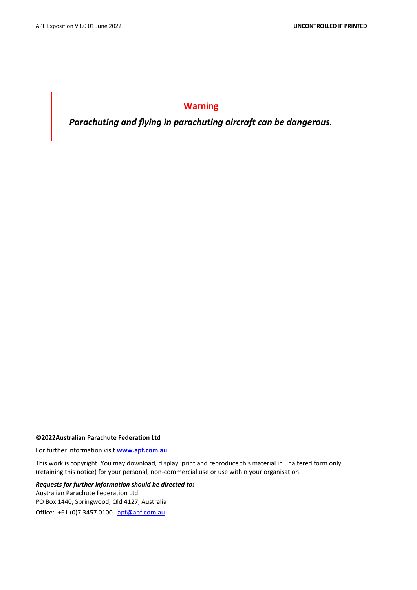# **Warning**

*Parachuting and flying in parachuting aircraft can be dangerous.*

#### **©2022Australian Parachute Federation Ltd**

For further information visit **www.apf.com.au**

This work is copyright. You may download, display, print and reproduce this material in unaltered form only (retaining this notice) for your personal, non-commercial use or use within your organisation.

*Requests for further information should be directed to:*  Australian Parachute Federation Ltd PO Box 1440, Springwood, Qld 4127, Australia Office: +61 (0)7 3457 0100 [apf@apf.com.au](mailto:apf@apf.com.au)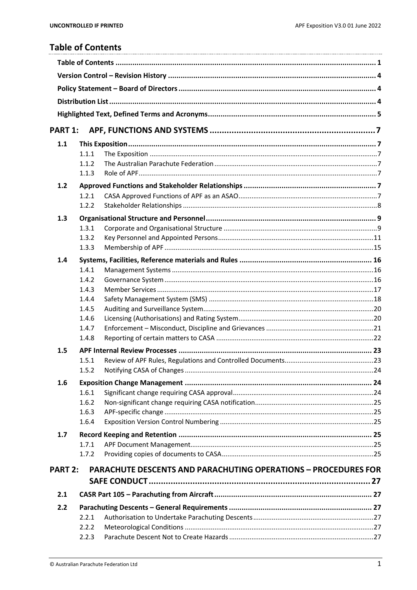# <span id="page-2-0"></span>**Table of Contents**

| <b>PART 1:</b> |                |                                                                       |  |
|----------------|----------------|-----------------------------------------------------------------------|--|
| 1.1            |                |                                                                       |  |
|                | 1.1.1          |                                                                       |  |
|                | 1.1.2          |                                                                       |  |
|                | 1.1.3          |                                                                       |  |
| 1.2            |                |                                                                       |  |
|                | 1.2.1          |                                                                       |  |
|                | 1.2.2          |                                                                       |  |
| 1.3            |                |                                                                       |  |
|                | 1.3.1          |                                                                       |  |
|                | 1.3.2          |                                                                       |  |
|                | 1.3.3          |                                                                       |  |
| 1.4            |                |                                                                       |  |
|                | 1.4.1          |                                                                       |  |
|                | 1.4.2          |                                                                       |  |
|                | 1.4.3          |                                                                       |  |
|                | 1.4.4          |                                                                       |  |
|                | 1.4.5          |                                                                       |  |
|                | 1.4.6          |                                                                       |  |
|                | 1.4.7<br>1.4.8 |                                                                       |  |
|                |                |                                                                       |  |
| 1.5            |                |                                                                       |  |
|                | 1.5.1          |                                                                       |  |
|                | 1.5.2          |                                                                       |  |
| 1.6            |                |                                                                       |  |
|                | 1.6.1          |                                                                       |  |
|                | 1.6.2<br>1.6.3 |                                                                       |  |
|                | 1.6.4          |                                                                       |  |
|                |                |                                                                       |  |
| 1.7            | 1.7.1          |                                                                       |  |
|                | 1.7.2          |                                                                       |  |
|                |                |                                                                       |  |
| <b>PART 2:</b> |                | <b>PARACHUTE DESCENTS AND PARACHUTING OPERATIONS - PROCEDURES FOR</b> |  |
|                |                |                                                                       |  |
| 2.1            |                |                                                                       |  |
| 2.2            |                |                                                                       |  |
|                | 2.2.1          |                                                                       |  |
|                | 2.2.2          |                                                                       |  |
|                | 2.2.3          |                                                                       |  |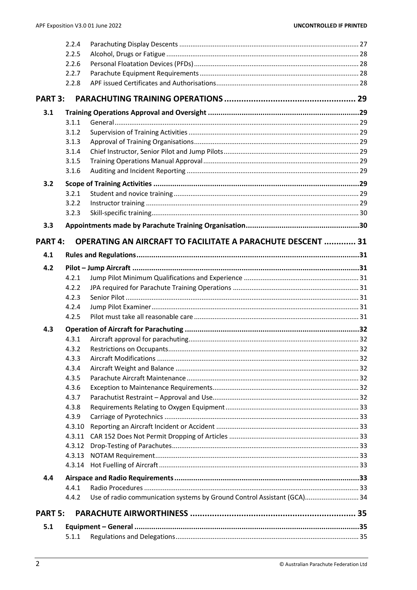|                | 2.2.4  |                                                                         |  |
|----------------|--------|-------------------------------------------------------------------------|--|
|                | 2.2.5  |                                                                         |  |
|                | 2.2.6  |                                                                         |  |
|                | 2.2.7  |                                                                         |  |
|                | 2.2.8  |                                                                         |  |
| <b>PART 3:</b> |        |                                                                         |  |
| 3.1            |        |                                                                         |  |
|                | 3.1.1  |                                                                         |  |
|                | 3.1.2  |                                                                         |  |
|                | 3.1.3  |                                                                         |  |
|                | 3.1.4  |                                                                         |  |
|                | 3.1.5  |                                                                         |  |
|                | 3.1.6  |                                                                         |  |
| 3.2            |        |                                                                         |  |
|                | 3.2.1  |                                                                         |  |
|                | 3.2.2  |                                                                         |  |
|                | 3.2.3  |                                                                         |  |
| 3.3            |        |                                                                         |  |
| PART 4:        |        | <b>OPERATING AN AIRCRAFT TO FACILITATE A PARACHUTE DESCENT  31</b>      |  |
| 4.1            |        |                                                                         |  |
| 4.2            |        |                                                                         |  |
|                | 4.2.1  |                                                                         |  |
|                | 4.2.2  |                                                                         |  |
|                | 4.2.3  |                                                                         |  |
|                | 4.2.4  |                                                                         |  |
|                | 4.2.5  |                                                                         |  |
| 4.3            |        |                                                                         |  |
|                | 4.3.1  |                                                                         |  |
|                | 4.3.2  |                                                                         |  |
|                | 4.3.3  |                                                                         |  |
|                | 4.3.4  |                                                                         |  |
|                | 4.3.5  |                                                                         |  |
|                | 4.3.6  |                                                                         |  |
|                | 4.3.7  |                                                                         |  |
|                | 4.3.8  |                                                                         |  |
|                | 4.3.9  |                                                                         |  |
|                | 4.3.10 |                                                                         |  |
|                | 4.3.11 |                                                                         |  |
|                | 4.3.12 |                                                                         |  |
|                | 4.3.13 |                                                                         |  |
|                | 4.3.14 |                                                                         |  |
| 4.4            |        |                                                                         |  |
|                | 4.4.1  |                                                                         |  |
|                | 4.4.2  | Use of radio communication systems by Ground Control Assistant (GCA) 34 |  |
| <b>PART 5:</b> |        |                                                                         |  |
| 5.1            |        |                                                                         |  |
|                | 5.1.1  |                                                                         |  |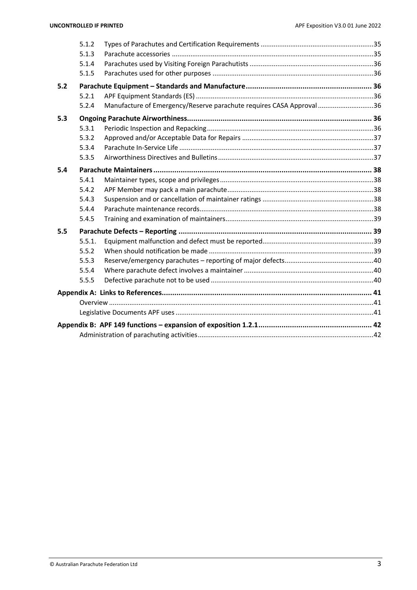|     | 5.1.2  |                                                                      |  |
|-----|--------|----------------------------------------------------------------------|--|
|     | 5.1.3  |                                                                      |  |
|     | 5.1.4  |                                                                      |  |
|     | 5.1.5  |                                                                      |  |
| 5.2 |        |                                                                      |  |
|     | 5.2.1  |                                                                      |  |
|     | 5.2.4  | Manufacture of Emergency/Reserve parachute requires CASA Approval 36 |  |
| 5.3 |        |                                                                      |  |
|     | 5.3.1  |                                                                      |  |
|     | 5.3.2  |                                                                      |  |
|     | 5.3.4  |                                                                      |  |
|     | 5.3.5  |                                                                      |  |
| 5.4 |        |                                                                      |  |
|     | 5.4.1  |                                                                      |  |
|     | 5.4.2  |                                                                      |  |
|     | 5.4.3  |                                                                      |  |
|     | 5.4.4  |                                                                      |  |
|     | 5.4.5  |                                                                      |  |
| 5.5 |        |                                                                      |  |
|     | 5.5.1. |                                                                      |  |
|     | 5.5.2  |                                                                      |  |
|     | 5.5.3  |                                                                      |  |
|     | 5.5.4  |                                                                      |  |
|     | 5.5.5  |                                                                      |  |
|     |        |                                                                      |  |
|     |        |                                                                      |  |
|     |        |                                                                      |  |
|     |        |                                                                      |  |
|     |        |                                                                      |  |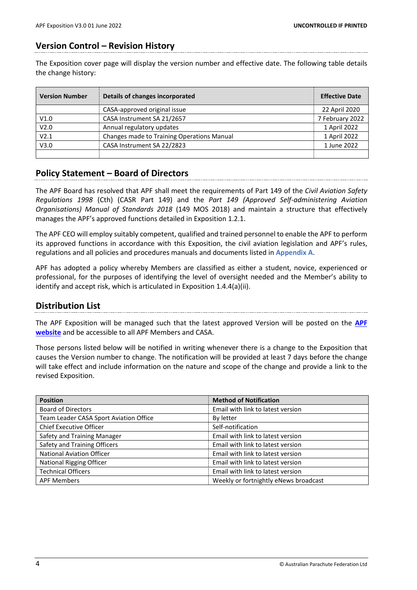# <span id="page-5-0"></span>**Version Control – Revision History**

The Exposition cover page will display the version number and effective date. The following table details the change history:

| <b>Version Number</b> | Details of changes incorporated            | <b>Effective Date</b> |
|-----------------------|--------------------------------------------|-----------------------|
|                       | CASA-approved original issue               | 22 April 2020         |
| V1.0                  | CASA Instrument SA 21/2657                 | 7 February 2022       |
| V <sub>2.0</sub>      | Annual regulatory updates                  | 1 April 2022          |
| V2.1                  | Changes made to Training Operations Manual | 1 April 2022          |
| V3.0                  | CASA Instrument SA 22/2823                 | 1 June 2022           |
|                       |                                            |                       |

# <span id="page-5-1"></span>**Policy Statement – Board of Directors**

The APF Board has resolved that APF shall meet the requirements of Part 149 of the *Civil Aviation Safety Regulations 1998* (Cth) (CASR Part 149) and the *Part 149 (Approved Self-administering Aviation Organisations) Manual of Standards 2018* (149 MOS 2018) and maintain a structure that effectively manages the APF's approved functions detailed in Exposition 1.2.1.

The APF CEO will employ suitably competent, qualified and trained personnel to enable the APF to perform its approved functions in accordance with this Exposition, the civil aviation legislation and APF's rules, regulations and all policies and procedures manuals and documents listed in **Appendix A**.

APF has adopted a policy whereby Members are classified as either a student, novice, experienced or professional, for the purposes of identifying the level of oversight needed and the Member's ability to identify and accept risk, which is articulated in Exposition 1.4.4(a)(ii).

# <span id="page-5-2"></span>**Distribution List**

The APF Exposition will be managed such that the latest approved Version will be posted on the **[APF](https://www.apf.com.au/)  [website](https://www.apf.com.au/)** and be accessible to all APF Members and CASA.

Those persons listed below will be notified in writing whenever there is a change to the Exposition that causes the Version number to change. The notification will be provided at least 7 days before the change will take effect and include information on the nature and scope of the change and provide a link to the revised Exposition.

| <b>Position</b>                        | <b>Method of Notification</b>         |
|----------------------------------------|---------------------------------------|
| <b>Board of Directors</b>              | Email with link to latest version     |
| Team Leader CASA Sport Aviation Office | By letter                             |
| Chief Executive Officer                | Self-notification                     |
| Safety and Training Manager            | Email with link to latest version     |
| Safety and Training Officers           | Email with link to latest version     |
| <b>National Aviation Officer</b>       | Email with link to latest version     |
| <b>National Rigging Officer</b>        | Email with link to latest version     |
| <b>Technical Officers</b>              | Email with link to latest version     |
| <b>APF Members</b>                     | Weekly or fortnightly eNews broadcast |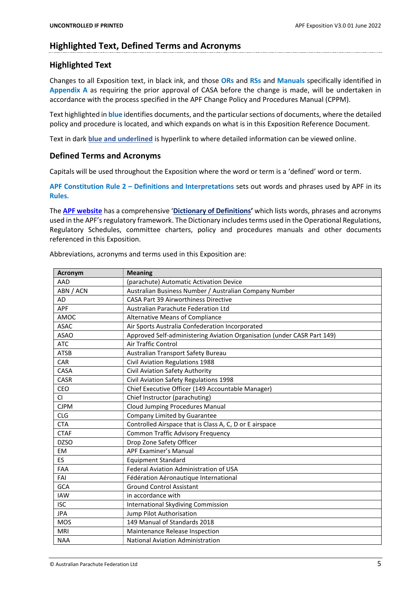# <span id="page-6-0"></span>**Highlighted Text, Defined Terms and Acronyms**

# **Highlighted Text**

Changes to all Exposition text, in black ink, and those **ORs** and **RSs** and **Manuals** specifically identified in **Appendix A** as requiring the prior approval of CASA before the change is made, will be undertaken in accordance with the process specified in the APF Change Policy and Procedures Manual (CPPM).

Text highlighted in **blue** identifies documents, and the particular sections of documents, where the detailed policy and procedure is located, and which expands on what is in this Exposition Reference Document.

Text in dark **blue and underlined** is hyperlink to where detailed information can be viewed online.

# **Defined Terms and Acronyms**

Capitals will be used throughout the Exposition where the word or term is a 'defined' word or term.

**APF Constitution Rule 2 – Definitions and Interpretations** sets out words and phrases used by APF in its **Rules**.

The **[APF website](https://www.apf.com.au/)** has a comprehensive '**[Dictionary of Definitions](https://www.apf.com.au/help/definitions)'** which lists words, phrases and acronyms used in the APF's regulatory framework. The Dictionary includes terms used in the Operational Regulations, Regulatory Schedules, committee charters, policy and procedures manuals and other documents referenced in this Exposition.

Abbreviations, acronyms and terms used in this Exposition are:

| <b>Acronym</b> | <b>Meaning</b>                                                          |
|----------------|-------------------------------------------------------------------------|
| AAD            | (parachute) Automatic Activation Device                                 |
| ABN / ACN      | Australian Business Number / Australian Company Number                  |
| <b>AD</b>      | <b>CASA Part 39 Airworthiness Directive</b>                             |
| APF            | <b>Australian Parachute Federation Ltd</b>                              |
| AMOC           | Alternative Means of Compliance                                         |
| <b>ASAC</b>    | Air Sports Australia Confederation Incorporated                         |
| <b>ASAO</b>    | Approved Self-administering Aviation Organisation (under CASR Part 149) |
| <b>ATC</b>     | Air Traffic Control                                                     |
| <b>ATSB</b>    | Australian Transport Safety Bureau                                      |
| CAR            | Civil Aviation Regulations 1988                                         |
| CASA           | Civil Aviation Safety Authority                                         |
| <b>CASR</b>    | Civil Aviation Safety Regulations 1998                                  |
| CEO            | Chief Executive Officer (149 Accountable Manager)                       |
| <b>CI</b>      | Chief Instructor (parachuting)                                          |
| <b>CJPM</b>    | <b>Cloud Jumping Procedures Manual</b>                                  |
| <b>CLG</b>     | Company Limited by Guarantee                                            |
| <b>CTA</b>     | Controlled Airspace that is Class A, C, D or E airspace                 |
| <b>CTAF</b>    | <b>Common Traffic Advisory Frequency</b>                                |
| <b>DZSO</b>    | Drop Zone Safety Officer                                                |
| <b>EM</b>      | <b>APF Examiner's Manual</b>                                            |
| ES             | <b>Equipment Standard</b>                                               |
| <b>FAA</b>     | Federal Aviation Administration of USA                                  |
| FAI            | Fédération Aéronautique International                                   |
| GCA            | <b>Ground Control Assistant</b>                                         |
| <b>IAW</b>     | in accordance with                                                      |
| <b>ISC</b>     | <b>International Skydiving Commission</b>                               |
| <b>JPA</b>     | Jump Pilot Authorisation                                                |
| <b>MOS</b>     | 149 Manual of Standards 2018                                            |
| <b>MRI</b>     | Maintenance Release Inspection                                          |
| <b>NAA</b>     | <b>National Aviation Administration</b>                                 |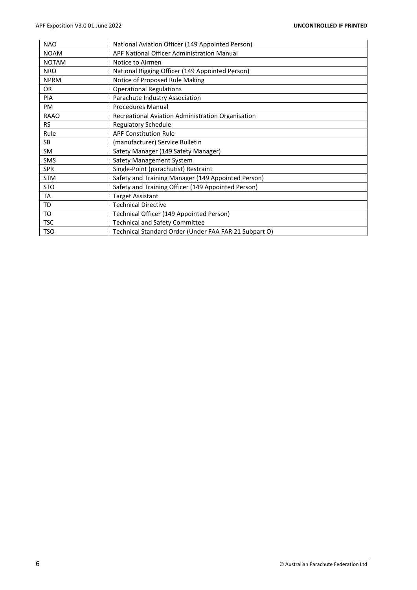| <b>NAO</b>   | National Aviation Officer (149 Appointed Person)      |
|--------------|-------------------------------------------------------|
| <b>NOAM</b>  | APF National Officer Administration Manual            |
| <b>NOTAM</b> | Notice to Airmen                                      |
| <b>NRO</b>   | National Rigging Officer (149 Appointed Person)       |
| <b>NPRM</b>  | Notice of Proposed Rule Making                        |
| OR.          | <b>Operational Regulations</b>                        |
| <b>PIA</b>   | Parachute Industry Association                        |
| <b>PM</b>    | <b>Procedures Manual</b>                              |
| <b>RAAO</b>  | Recreational Aviation Administration Organisation     |
| <b>RS</b>    | <b>Regulatory Schedule</b>                            |
| Rule         | <b>APF Constitution Rule</b>                          |
| <b>SB</b>    | (manufacturer) Service Bulletin                       |
| SM.          | Safety Manager (149 Safety Manager)                   |
| <b>SMS</b>   | Safety Management System                              |
| <b>SPR</b>   | Single-Point (parachutist) Restraint                  |
| <b>STM</b>   | Safety and Training Manager (149 Appointed Person)    |
| <b>STO</b>   | Safety and Training Officer (149 Appointed Person)    |
| TA           | <b>Target Assistant</b>                               |
| TD           | <b>Technical Directive</b>                            |
| TO           | Technical Officer (149 Appointed Person)              |
| <b>TSC</b>   | <b>Technical and Safety Committee</b>                 |
| <b>TSO</b>   | Technical Standard Order (Under FAA FAR 21 Subpart O) |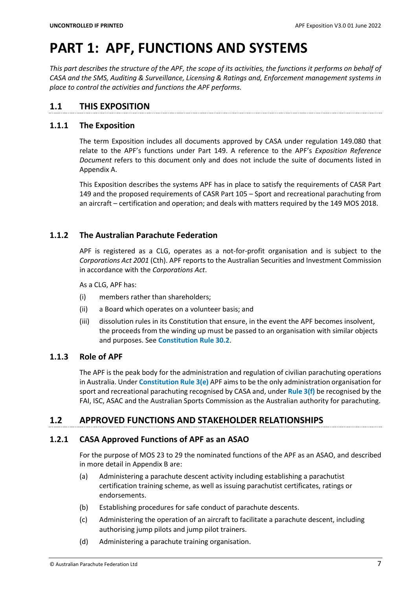# <span id="page-8-0"></span>**PART 1: APF, FUNCTIONS AND SYSTEMS**

*This part describes the structure of the APF, the scope of its activities, the functions it performs on behalf of CASA and the SMS, Auditing & Surveillance, Licensing & Ratings and, Enforcement management systems in place to control the activities and functions the APF performs.*

# <span id="page-8-1"></span>**1.1 THIS EXPOSITION**

# <span id="page-8-2"></span>**1.1.1 The Exposition**

The term Exposition includes all documents approved by CASA under regulation 149.080 that relate to the APF's functions under Part 149. A reference to the APF's *Exposition Reference Document* refers to this document only and does not include the suite of documents listed in Appendix A.

This Exposition describes the systems APF has in place to satisfy the requirements of CASR Part 149 and the proposed requirements of CASR Part 105 – Sport and recreational parachuting from an aircraft – certification and operation; and deals with matters required by the 149 MOS 2018.

# <span id="page-8-3"></span>**1.1.2 The Australian Parachute Federation**

APF is registered as a CLG, operates as a not-for-profit organisation and is subject to the *Corporations Act 2001* (Cth). APF reports to the Australian Securities and Investment Commission in accordance with the *Corporations Act*.

As a CLG, APF has:

- (i) members rather than shareholders;
- (ii) a Board which operates on a volunteer basis; and
- (iii) dissolution rules in its Constitution that ensure, in the event the APF becomes insolvent, the proceeds from the winding up must be passed to an organisation with similar objects and purposes. See **Constitution Rule 30.2**.

# <span id="page-8-4"></span>**1.1.3 Role of APF**

The APF is the peak body for the administration and regulation of civilian parachuting operations in Australia. Under **Constitution Rule 3(e)** APF aims to be the only administration organisation for sport and recreational parachuting recognised by CASA and, under **Rule 3(f)** be recognised by the FAI, ISC, ASAC and the Australian Sports Commission as the Australian authority for parachuting.

# <span id="page-8-5"></span>**1.2 APPROVED FUNCTIONS AND STAKEHOLDER RELATIONSHIPS**

# <span id="page-8-6"></span>**1.2.1 CASA Approved Functions of APF as an ASAO**

For the purpose of MOS 23 to 29 the nominated functions of the APF as an ASAO, and described in more detail in Appendix B are:

- (a) Administering a parachute descent activity including establishing a parachutist certification training scheme, as well as issuing parachutist certificates, ratings or endorsements.
- (b) Establishing procedures for safe conduct of parachute descents.
- (c) Administering the operation of an aircraft to facilitate a parachute descent, including authorising jump pilots and jump pilot trainers.
- (d) Administering a parachute training organisation.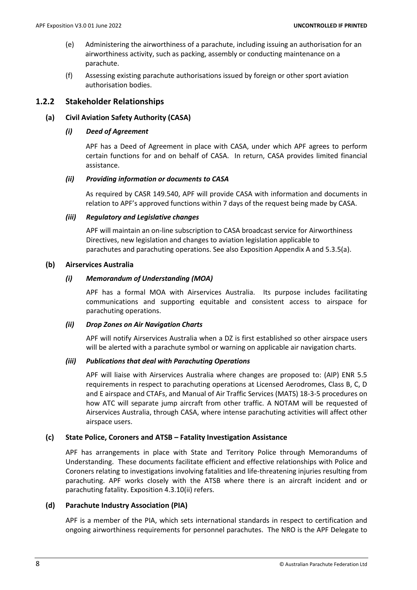- (e) Administering the airworthiness of a parachute, including issuing an authorisation for an airworthiness activity, such as packing, assembly or conducting maintenance on a parachute.
- (f) Assessing existing parachute authorisations issued by foreign or other sport aviation authorisation bodies.

# <span id="page-9-0"></span>**1.2.2 Stakeholder Relationships**

# **(a) Civil Aviation Safety Authority (CASA)**

#### *(i) Deed of Agreement*

APF has a Deed of Agreement in place with CASA, under which APF agrees to perform certain functions for and on behalf of CASA. In return, CASA provides limited financial assistance.

#### *(ii) Providing information or documents to CASA*

As required by CASR 149.540, APF will provide CASA with information and documents in relation to APF's approved functions within 7 days of the request being made by CASA.

#### *(iii) Regulatory and Legislative changes*

APF will maintain an on-line subscription to CASA broadcast service for Airworthiness Directives, new legislation and changes to aviation legislation applicable to parachutes and parachuting operations. See also Exposition Appendix A and 5.3.5(a).

#### **(b) Airservices Australia**

#### *(i) Memorandum of Understanding (MOA)*

APF has a formal MOA with Airservices Australia. Its purpose includes facilitating communications and supporting equitable and consistent access to airspace for parachuting operations.

#### *(ii) Drop Zones on Air Navigation Charts*

APF will notify Airservices Australia when a DZ is first established so other airspace users will be alerted with a parachute symbol or warning on applicable air navigation charts.

#### *(iii) Publications that deal with Parachuting Operations*

APF will liaise with Airservices Australia where changes are proposed to: (AIP) ENR 5.5 requirements in respect to parachuting operations at Licensed Aerodromes, Class B, C, D and E airspace and CTAFs, and Manual of Air Traffic Services (MATS) 18-3-5 procedures on how ATC will separate jump aircraft from other traffic. A NOTAM will be requested of Airservices Australia, through CASA, where intense parachuting activities will affect other airspace users.

# **(c) State Police, Coroners and ATSB – Fatality Investigation Assistance**

APF has arrangements in place with State and Territory Police through Memorandums of Understanding. These documents facilitate efficient and effective relationships with Police and Coroners relating to investigations involving fatalities and life-threatening injuries resulting from parachuting. APF works closely with the ATSB where there is an aircraft incident and or parachuting fatality. Exposition 4.3.10(ii) refers.

# **(d) Parachute Industry Association (PIA)**

APF is a member of the PIA, which sets international standards in respect to certification and ongoing airworthiness requirements for personnel parachutes. The NRO is the APF Delegate to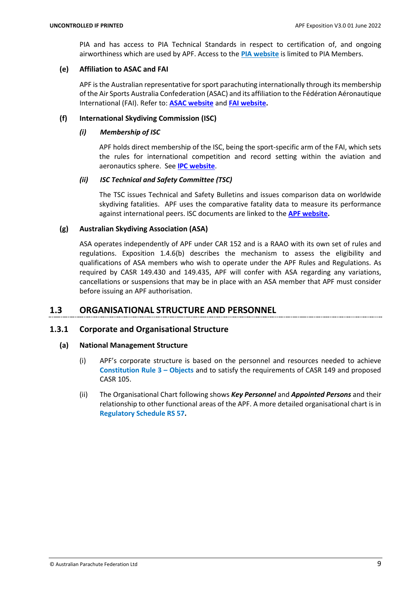PIA and has access to PIA Technical Standards in respect to certification of, and ongoing airworthiness which are used by APF. Access to the **PIA [website](http://www.pia.com/)** is limited to PIA Members.

#### **(e) Affiliation to ASAC and FAI**

APF is the Australian representative for sport parachuting internationally through its membership of the Air Sports Australia Confederation (ASAC) and its affiliation to the Fédération Aéronautique International (FAI). Refer to: **[ASAC website](http://www.asac.asn.au/our-members/)** and **[FAI website.](https://www.fai.org/)**

# **(f) International Skydiving Commission (ISC)**

#### *(i) Membership of ISC*

APF holds direct membership of the ISC, being the sport-specific arm of the FAI, which sets the rules for international competition and record setting within the aviation and aeronautics sphere. See **[IPC website](https://www.fai.org/commission/ipc)**.

#### *(ii) ISC Technical and Safety Committee (TSC)*

The TSC issues Technical and Safety Bulletins and issues comparison data on worldwide skydiving fatalities. APF uses the comparative fatality data to measure its performance against international peers. ISC documents are linked to the **[APF website.](https://www.apf.com.au/)**

#### **(g) Australian Skydiving Association (ASA)**

ASA operates independently of APF under CAR 152 and is a RAAO with its own set of rules and regulations. Exposition 1.4.6(b) describes the mechanism to assess the eligibility and qualifications of ASA members who wish to operate under the APF Rules and Regulations. As required by CASR 149.430 and 149.435, APF will confer with ASA regarding any variations, cancellations or suspensions that may be in place with an ASA member that APF must consider before issuing an APF authorisation.

# <span id="page-10-0"></span>**1.3 ORGANISATIONAL STRUCTURE AND PERSONNEL**

# <span id="page-10-1"></span>**1.3.1 Corporate and Organisational Structure**

#### **(a) National Management Structure**

- (i) APF's corporate structure is based on the personnel and resources needed to achieve **Constitution Rule 3 – Objects** and to satisfy the requirements of CASR 149 and proposed CASR 105.
- (ii) The Organisational Chart following shows *Key Personnel* and *Appointed Persons* and their relationship to other functional areas of the APF. A more detailed organisational chart is in **Regulatory Schedule RS 57.**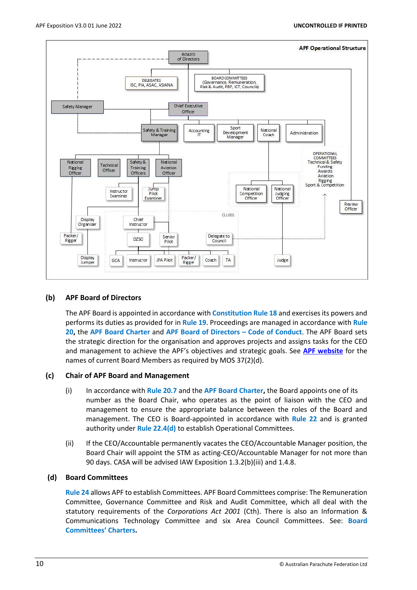

#### **(b) APF Board of Directors**

The APF Board is appointed in accordance with **Constitution Rule 18** and exercises its powers and performs its duties as provided for in **Rule 19**. Proceedings are managed in accordance with **Rule 20,** the **APF Board Charter** and **APF Board of Directors – Code of Conduct**. The APF Board sets the strategic direction for the organisation and approves projects and assigns tasks for the CEO and management to achieve the APF's objectives and strategic goals. See **[APF website](https://www.apf.com.au/)** for the names of current Board Members as required by MOS 37(2)(d).

#### **(c) Chair of APF Board and Management**

- (i) In accordance with **Rule 20.7** and the **APF Board Charter,** the Board appoints one of its number as the Board Chair, who operates as the point of liaison with the CEO and management to ensure the appropriate balance between the roles of the Board and management. The CEO is Board-appointed in accordance with **Rule 22** and is granted authority under **Rule 22.4(d)** to establish Operational Committees.
- (ii) If the CEO/Accountable permanently vacates the CEO/Accountable Manager position, the Board Chair will appoint the STM as acting-CEO/Accountable Manager for not more than 90 days. CASA will be advised IAW Exposition 1.3.2(b)(iii) and 1.4.8.

#### **(d) Board Committees**

**Rule 24** allows APF to establish Committees. APF Board Committees comprise: The Remuneration Committee, Governance Committee and Risk and Audit Committee, which all deal with the statutory requirements of the *Corporations Act 2001* (Cth). There is also an Information & Communications Technology Committee and six Area Council Committees. See: **Board Committees' Charters.**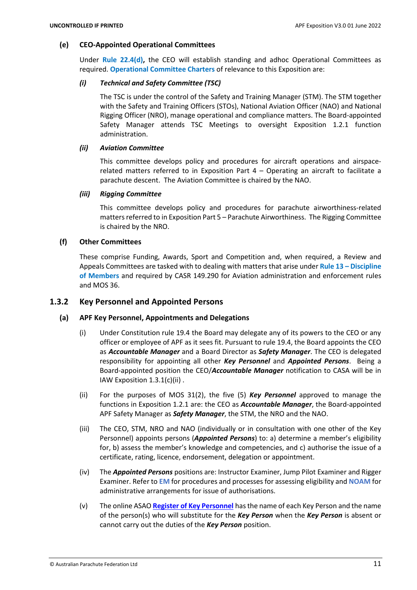#### **(e) CEO-Appointed Operational Committees**

Under **Rule 22.4(d),** the CEO will establish standing and adhoc Operational Committees as required. **Operational Committee Charters** of relevance to this Exposition are:

#### *(i) Technical and Safety Committee (TSC)*

The TSC is under the control of the Safety and Training Manager (STM). The STM together with the Safety and Training Officers (STOs), National Aviation Officer (NAO) and National Rigging Officer (NRO), manage operational and compliance matters. The Board-appointed Safety Manager attends TSC Meetings to oversight Exposition 1.2.1 function administration.

#### *(ii) Aviation Committee*

This committee develops policy and procedures for aircraft operations and airspacerelated matters referred to in Exposition Part 4 – Operating an aircraft to facilitate a parachute descent. The Aviation Committee is chaired by the NAO.

#### *(iii) Rigging Committee*

This committee develops policy and procedures for parachute airworthiness-related matters referred to in Exposition Part 5 – Parachute Airworthiness. The Rigging Committee is chaired by the NRO.

#### **(f) Other Committees**

These comprise Funding, Awards, Sport and Competition and, when required, a Review and Appeals Committees are tasked with to dealing with matters that arise under **Rule 13 – Discipline of Members** and required by CASR 149.290 for Aviation administration and enforcement rules and MOS 36.

#### <span id="page-12-0"></span>**1.3.2 Key Personnel and Appointed Persons**

#### **(a) APF Key Personnel, Appointments and Delegations**

- (i) Under Constitution rule 19.4 the Board may delegate any of its powers to the CEO or any officer or employee of APF as it sees fit. Pursuant to rule 19.4, the Board appoints the CEO as *Accountable Manager* and a Board Director as *Safety Manager*. The CEO is delegated responsibility for appointing all other *Key Personnel* and *Appointed Persons*. Being a Board-appointed position the CEO/*Accountable Manager* notification to CASA will be in IAW Exposition 1.3.1(c)(ii) .
- (ii) For the purposes of MOS 31(2), the five (5) *Key Personnel* approved to manage the functions in Exposition 1.2.1 are: the CEO as *Accountable Manager*, the Board-appointed APF Safety Manager as *Safety Manager*, the STM, the NRO and the NAO.
- (iii) The CEO, STM, NRO and NAO (individually or in consultation with one other of the Key Personnel) appoints persons (*Appointed Persons*) to: a) determine a member's eligibility for, b) assess the member's knowledge and competencies, and c) authorise the issue of a certificate, rating, licence, endorsement, delegation or appointment.
- (iv) The *Appointed Persons* positions are: Instructor Examiner, Jump Pilot Examiner and Rigger Examiner. Refer to **EM** for procedures and processes for assessing eligibility and **NOAM** for administrative arrangements for issue of authorisations.
- (v) The online ASAO **[Register of Key Personnel](https://www.apf.com.au/Members/About/appointees-committees)** has the name of each Key Person and the name of the person(s) who will substitute for the *Key Person* when the *Key Person* is absent or cannot carry out the duties of the *Key Person* position.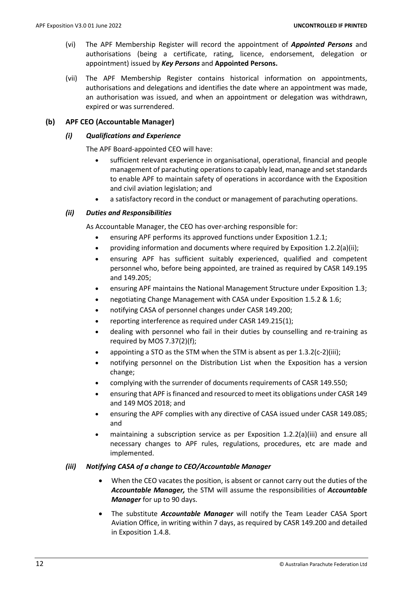- (vi) The APF Membership Register will record the appointment of *Appointed Persons* and authorisations (being a certificate, rating, licence, endorsement, delegation or appointment) issued by *Key Persons* and **Appointed Persons.**
- (vii) The APF Membership Register contains historical information on appointments, authorisations and delegations and identifies the date where an appointment was made, an authorisation was issued, and when an appointment or delegation was withdrawn, expired or was surrendered.

#### **(b) APF CEO (Accountable Manager)**

#### *(i) Qualifications and Experience*

The APF Board-appointed CEO will have:

- sufficient relevant experience in organisational, operational, financial and people management of parachuting operations to capably lead, manage and set standards to enable APF to maintain safety of operations in accordance with the Exposition and civil aviation legislation; and
- a satisfactory record in the conduct or management of parachuting operations.

#### *(ii) Duties and Responsibilities*

As Accountable Manager, the CEO has over-arching responsible for:

- ensuring APF performs its approved functions under Exposition 1.2.1;
- providing information and documents where required by Exposition 1.2.2(a)(ii);
- ensuring APF has sufficient suitably experienced, qualified and competent personnel who, before being appointed, are trained as required by CASR 149.195 and 149.205;
- ensuring APF maintains the National Management Structure under Exposition 1.3;
- negotiating Change Management with CASA under Exposition 1.5.2 & 1.6;
- notifying CASA of personnel changes under CASR 149.200;
- reporting interference as required under CASR 149.215(1);
- dealing with personnel who fail in their duties by counselling and re-training as required by MOS 7.37(2)(f);
- appointing a STO as the STM when the STM is absent as per 1.3.2(c-2)(iii);
- notifying personnel on the Distribution List when the Exposition has a version change;
- complying with the surrender of documents requirements of CASR 149.550;
- ensuring that APF isfinanced and resourced to meet its obligations under CASR 149 and 149 MOS 2018; and
- ensuring the APF complies with any directive of CASA issued under CASR 149.085; and
- maintaining a subscription service as per Exposition 1.2.2(a)(iii) and ensure all necessary changes to APF rules, regulations, procedures, etc are made and implemented.

#### *(iii) Notifying CASA of a change to CEO/Accountable Manager*

- When the CEO vacates the position, is absent or cannot carry out the duties of the *Accountable Manager,* the STM will assume the responsibilities of *Accountable Manager* for up to 90 days.
- The substitute *Accountable Manager* will notify the Team Leader CASA Sport Aviation Office, in writing within 7 days, as required by CASR 149.200 and detailed in Exposition 1.4.8.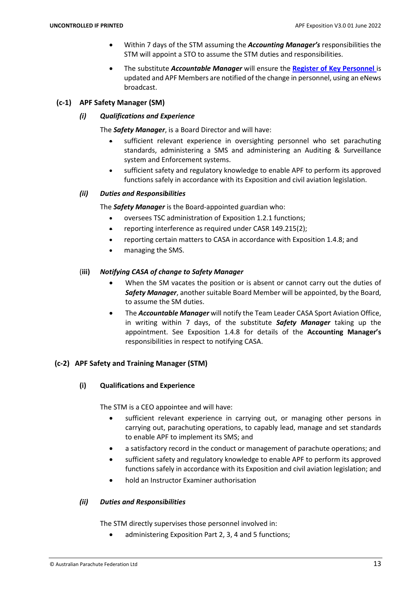- Within 7 days of the STM assuming the *Accounting Manager's* responsibilities the STM will appoint a STO to assume the STM duties and responsibilities.
- The substitute *Accountable Manager* will ensure the **[Register of Key Personnel](https://www.apf.com.au/Members/About/appointees-committees)** is updated and APF Members are notified of the change in personnel, using an eNews broadcast.

#### **(c-1) APF Safety Manager (SM)**

#### *(i) Qualifications and Experience*

The *Safety Manager*, is a Board Director and will have:

- sufficient relevant experience in oversighting personnel who set parachuting standards, administering a SMS and administering an Auditing & Surveillance system and Enforcement systems.
- sufficient safety and regulatory knowledge to enable APF to perform its approved functions safely in accordance with its Exposition and civil aviation legislation.

#### *(ii) Duties and Responsibilities*

The *Safety Manager* is the Board-appointed guardian who:

- oversees TSC administration of Exposition 1.2.1 functions;
- reporting interference as required under CASR 149.215(2);
- reporting certain matters to CASA in accordance with Exposition 1.4.8; and
- managing the SMS.

# (**iii)** *Notifying CASA of change to Safety Manager*

- When the SM vacates the position or is absent or cannot carry out the duties of *Safety Manager*, another suitable Board Member will be appointed, by the Board, to assume the SM duties.
- The *Accountable Manager* will notify the Team Leader CASA Sport Aviation Office, in writing within 7 days, of the substitute *Safety Manager* taking up the appointment. See Exposition 1.4.8 for details of the **Accounting Manager's** responsibilities in respect to notifying CASA.

# **(c-2) APF Safety and Training Manager (STM)**

# **(i) Qualifications and Experience**

The STM is a CEO appointee and will have:

- sufficient relevant experience in carrying out, or managing other persons in carrying out, parachuting operations, to capably lead, manage and set standards to enable APF to implement its SMS; and
- a satisfactory record in the conduct or management of parachute operations; and
- sufficient safety and regulatory knowledge to enable APF to perform its approved functions safely in accordance with its Exposition and civil aviation legislation; and
- hold an Instructor Examiner authorisation

# *(ii) Duties and Responsibilities*

The STM directly supervises those personnel involved in:

administering Exposition Part 2, 3, 4 and 5 functions: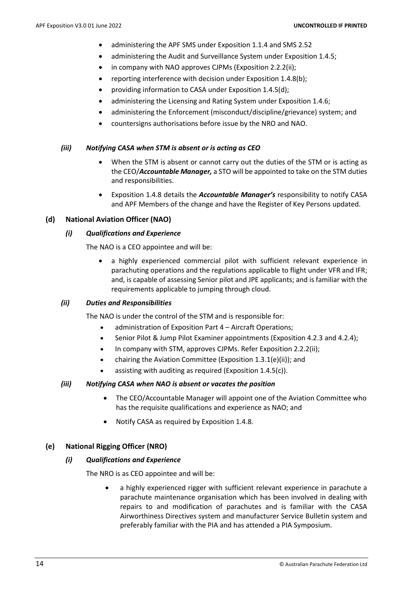- administering the APF SMS under Exposition 1.1.4 and SMS 2.52
- administering the Audit and Surveillance System under Exposition 1.4.5;
- in company with NAO approves CJPMs (Exposition 2.2.2(ii);
- reporting interference with decision under Exposition 1.4.8(b);
- providing information to CASA under Exposition 1.4.5(d);
- administering the Licensing and Rating System under Exposition 1.4.6;
- administering the Enforcement (misconduct/discipline/grievance) system; and
- countersigns authorisations before issue by the NRO and NAO.

#### *(iii) Notifying CASA when STM is absent or is acting as CEO*

- When the STM is absent or cannot carry out the duties of the STM or is acting as the CEO/*Accountable Manager,* a STO will be appointed to take on the STM duties and responsibilities.
- Exposition 1.4.8 details the *Accountable Manager's* responsibility to notify CASA and APF Members of the change and have the Register of Key Persons updated.

#### **(d) National Aviation Officer (NAO)**

#### *(i) Qualifications and Experience*

The NAO is a CEO appointee and will be:

• a highly experienced commercial pilot with sufficient relevant experience in parachuting operations and the regulations applicable to flight under VFR and IFR; and, is capable of assessing Senior pilot and JPE applicants; and is familiar with the requirements applicable to jumping through cloud.

#### *(ii) Duties and Responsibilities*

The NAO is under the control of the STM and is responsible for:

- administration of Exposition Part 4 Aircraft Operations;
- Senior Pilot & Jump Pilot Examiner appointments (Exposition 4.2.3 and 4.2.4);
- In company with STM, approves CJPMs. Refer Exposition 2.2.2(ii);
- chairing the Aviation Committee (Exposition 1.3.1(e)(ii)); and
- assisting with auditing as required (Exposition 1.4.5(c)).

#### *(iii) Notifying CASA when NAO is absent or vacates the position*

- The CEO/Accountable Manager will appoint one of the Aviation Committee who has the requisite qualifications and experience as NAO; and
- Notify CASA as required by Exposition 1.4.8.

#### **(e) National Rigging Officer (NRO)**

#### *(i) Qualifications and Experience*

The NRO is as CEO appointee and will be:

• a highly experienced rigger with sufficient relevant experience in parachute a parachute maintenance organisation which has been involved in dealing with repairs to and modification of parachutes and is familiar with the CASA Airworthiness Directives system and manufacturer Service Bulletin system and preferably familiar with the PIA and has attended a PIA Symposium.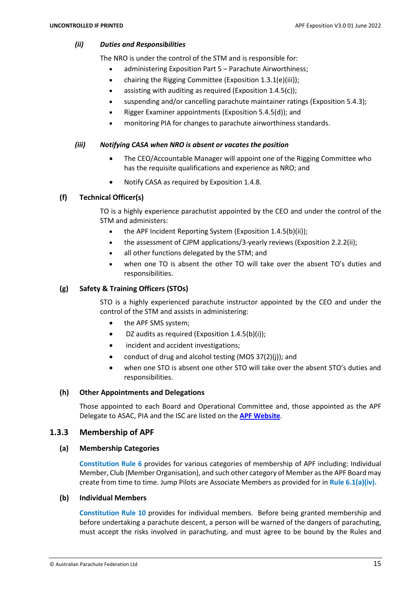#### *(ii) Duties and Responsibilities*

The NRO is under the control of the STM and is responsible for:

- administering Exposition Part 5 Parachute Airworthiness;
- chairing the Rigging Committee (Exposition 1.3.1(e)(iii));
- assisting with auditing as required (Exposition  $1.4.5(c)$ );
- suspending and/or cancelling parachute maintainer ratings (Exposition 5.4.3);
- Rigger Examiner appointments (Exposition 5.4.5(d)); and
- monitoring PIA for changes to parachute airworthiness standards.

# *(iii) Notifying CASA when NRO is absent or vacates the position*

- The CEO/Accountable Manager will appoint one of the Rigging Committee who has the requisite qualifications and experience as NRO; and
- Notify CASA as required by Exposition 1.4.8.

# **(f) Technical Officer(s)**

TO is a highly experience parachutist appointed by the CEO and under the control of the STM and administers:

- the APF Incident Reporting System (Exposition 1.4.5(b)(ii));
- the assessment of CJPM applications/3-yearly reviews (Exposition 2.2.2(ii);
- all other functions delegated by the STM; and
- when one TO is absent the other TO will take over the absent TO's duties and responsibilities.

# **(g) Safety & Training Officers (STOs)**

STO is a highly experienced parachute instructor appointed by the CEO and under the control of the STM and assists in administering:

- the APF SMS system;
- DZ audits as required (Exposition 1.4.5(b)(i));
- incident and accident investigations;
- conduct of drug and alcohol testing (MOS 37(2)(j)); and
- when one STO is absent one other STO will take over the absent STO's duties and responsibilities.

# **(h) Other Appointments and Delegations**

Those appointed to each Board and Operational Committee and, those appointed as the APF Delegate to ASAC, PIA and the ISC are listed on the **[APF Website](https://www.apf.com.au/apf-zone/appointees-and-committees/appointees-and-committees)**.

# <span id="page-16-0"></span>**1.3.3 Membership of APF**

# **(a) Membership Categories**

**Constitution Rule 6** provides for various categories of membership of APF including: Individual Member, Club (Member Organisation), and such other category of Member as the APF Board may create from time to time. Jump Pilots are Associate Members as provided for in **Rule 6.1(a)(iv).**

# **(b) Individual Members**

**Constitution Rule 10** provides for individual members. Before being granted membership and before undertaking a parachute descent, a person will be warned of the dangers of parachuting, must accept the risks involved in parachuting, and must agree to be bound by the Rules and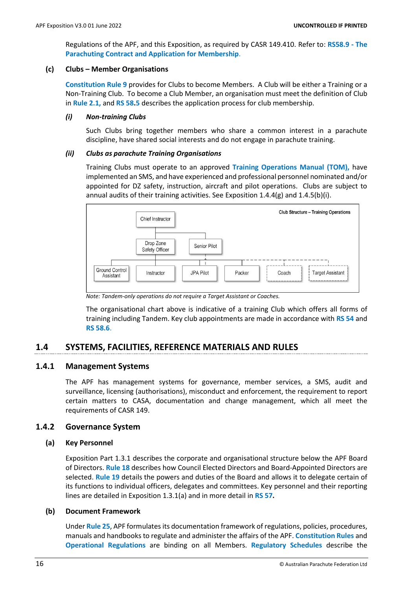Regulations of the APF, and this Exposition, as required by CASR 149.410. Refer to: **RS58.9 - The Parachuting Contract and Application for Membership**.

#### **(c) Clubs – Member Organisations**

**Constitution Rule 9** provides for Clubs to become Members. A Club will be either a Training or a Non-Training Club. To become a Club Member, an organisation must meet the definition of Club in **Rule 2.1,** and **RS 58.5** describes the application process for club membership.

#### *(i) Non-training Clubs*

Such Clubs bring together members who share a common interest in a parachute discipline, have shared social interests and do not engage in parachute training.

#### *(ii) Clubs as parachute Training Organisations*

Training Clubs must operate to an approved **Training Operations Manual (TOM),** have implemented an SMS, and have experienced and professional personnel nominated and/or appointed for DZ safety, instruction, aircraft and pilot operations. Clubs are subject to annual audits of their training activities. See Exposition 1.4.4(g) and 1.4.5(b)(i).



*Note: Tandem-only operations do not require a Target Assistant or Coaches.*

The organisational chart above is indicative of a training Club which offers all forms of training including Tandem. Key club appointments are made in accordance with **RS 54** and **RS 58.6**.

# <span id="page-17-0"></span>**1.4 SYSTEMS, FACILITIES, REFERENCE MATERIALS AND RULES**

#### <span id="page-17-1"></span>**1.4.1 Management Systems**

The APF has management systems for governance, member services, a SMS, audit and surveillance, licensing (authorisations), misconduct and enforcement, the requirement to report certain matters to CASA, documentation and change management, which all meet the requirements of CASR 149.

#### <span id="page-17-2"></span>**1.4.2 Governance System**

#### **(a) Key Personnel**

Exposition Part 1.3.1 describes the corporate and organisational structure below the APF Board of Directors. **Rule 18** describes how Council Elected Directors and Board-Appointed Directors are selected. **Rule 19** details the powers and duties of the Board and allows it to delegate certain of its functions to individual officers, delegates and committees. Key personnel and their reporting lines are detailed in Exposition 1.3.1(a) and in more detail in **RS 57.**

#### **(b) Document Framework**

Under **Rule 25**, APF formulates its documentation framework of regulations, policies, procedures, manuals and handbooks to regulate and administer the affairs of the APF. **Constitution Rules** and **Operational Regulations** are binding on all Members. **Regulatory Schedules** describe the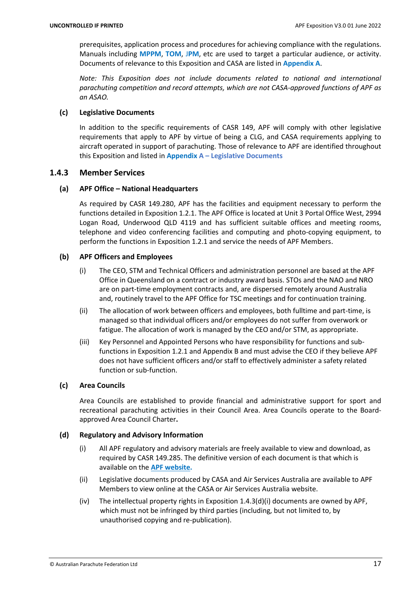prerequisites, application process and procedures for achieving compliance with the regulations. Manuals including **MPPM**, **TOM**, J**PM**, etc are used to target a particular audience, or activity. Documents of relevance to this Exposition and CASA are listed in **Appendix A**.

*Note: This Exposition does not include documents related to national and international parachuting competition and record attempts, which are not CASA-approved functions of APF as an ASAO.*

# **(c) Legislative Documents**

In addition to the specific requirements of CASR 149, APF will comply with other legislative requirements that apply to APF by virtue of being a CLG, and CASA requirements applying to aircraft operated in support of parachuting. Those of relevance to APF are identified throughout this Exposition and listed in **Appendix A – Legislative Documents**

# <span id="page-18-0"></span>**1.4.3 Member Services**

# **(a) APF Office – National Headquarters**

As required by CASR 149.280, APF has the facilities and equipment necessary to perform the functions detailed in Exposition 1.2.1. The APF Office is located at Unit 3 Portal Office West, 2994 Logan Road, Underwood QLD 4119 and has sufficient suitable offices and meeting rooms, telephone and video conferencing facilities and computing and photo-copying equipment, to perform the functions in Exposition 1.2.1 and service the needs of APF Members.

# **(b) APF Officers and Employees**

- (i) The CEO, STM and Technical Officers and administration personnel are based at the APF Office in Queensland on a contract or industry award basis. STOs and the NAO and NRO are on part-time employment contracts and, are dispersed remotely around Australia and, routinely travel to the APF Office for TSC meetings and for continuation training.
- (ii) The allocation of work between officers and employees, both fulltime and part-time, is managed so that individual officers and/or employees do not suffer from overwork or fatigue. The allocation of work is managed by the CEO and/or STM, as appropriate.
- (iii) Key Personnel and Appointed Persons who have responsibility for functions and subfunctions in Exposition 1.2.1 and Appendix B and must advise the CEO if they believe APF does not have sufficient officers and/or staff to effectively administer a safety related function or sub-function.

# **(c) Area Councils**

Area Councils are established to provide financial and administrative support for sport and recreational parachuting activities in their Council Area. Area Councils operate to the Boardapproved Area Council Charter**.**

# **(d) Regulatory and Advisory Information**

- (i) All APF regulatory and advisory materials are freely available to view and download, as required by CASR 149.285. The definitive version of each document is that which is available on the **[APF website.](https://www.apf.com.au/)**
- (ii) Legislative documents produced by CASA and Air Services Australia are available to APF Members to view online at the CASA or Air Services Australia website.
- (iv) The intellectual property rights in Exposition  $1.4.3(d)(i)$  documents are owned by APF, which must not be infringed by third parties (including, but not limited to, by unauthorised copying and re-publication).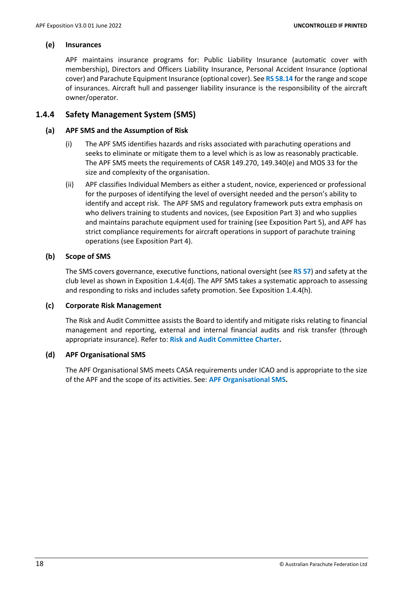#### **(e) Insurances**

APF maintains insurance programs for: Public Liability Insurance (automatic cover with membership), Directors and Officers Liability Insurance, Personal Accident Insurance (optional cover) and Parachute Equipment Insurance (optional cover). See **RS 58.14** forthe range and scope of insurances. Aircraft hull and passenger liability insurance is the responsibility of the aircraft owner/operator.

# <span id="page-19-0"></span>**1.4.4 Safety Management System (SMS)**

#### **(a) APF SMS and the Assumption of Risk**

- (i) The APF SMS identifies hazards and risks associated with parachuting operations and seeks to eliminate or mitigate them to a level which is as low as reasonably practicable. The APF SMS meets the requirements of CASR 149.270, 149.340(e) and MOS 33 for the size and complexity of the organisation.
- (ii) APF classifies Individual Members as either a student, novice, experienced or professional for the purposes of identifying the level of oversight needed and the person's ability to identify and accept risk. The APF SMS and regulatory framework puts extra emphasis on who delivers training to students and novices, (see Exposition Part 3) and who supplies and maintains parachute equipment used for training (see Exposition Part 5), and APF has strict compliance requirements for aircraft operations in support of parachute training operations (see Exposition Part 4).

#### **(b) Scope of SMS**

The SMS covers governance, executive functions, national oversight (see **RS 57**) and safety at the club level as shown in Exposition 1.4.4(d). The APF SMS takes a systematic approach to assessing and responding to risks and includes safety promotion. See Exposition 1.4.4(h).

#### **(c) Corporate Risk Management**

The Risk and Audit Committee assists the Board to identify and mitigate risks relating to financial management and reporting, external and internal financial audits and risk transfer (through appropriate insurance). Refer to: **Risk and Audit Committee Charter.**

#### **(d) APF Organisational SMS**

The APF Organisational SMS meets CASA requirements under ICAO and is appropriate to the size of the APF and the scope of its activities. See: **APF Organisational SMS.**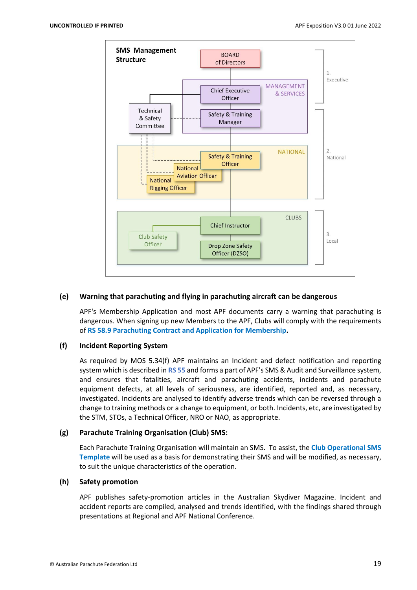

#### **(e) Warning that parachuting and flying in parachuting aircraft can be dangerous**

APF's Membership Application and most APF documents carry a warning that parachuting is dangerous. When signing up new Members to the APF, Clubs will comply with the requirements of **RS 58.9 Parachuting Contract and Application for Membership.**

#### **(f) Incident Reporting System**

As required by MOS 5.34(f) APF maintains an Incident and defect notification and reporting system which is described in **RS 55** and forms a part of APF's SMS & Audit and Surveillance system, and ensures that fatalities, aircraft and parachuting accidents, incidents and parachute equipment defects, at all levels of seriousness, are identified, reported and, as necessary, investigated. Incidents are analysed to identify adverse trends which can be reversed through a change to training methods or a change to equipment, or both. Incidents, etc, are investigated by the STM, STOs, a Technical Officer, NRO or NAO, as appropriate.

#### **(g) Parachute Training Organisation (Club) SMS:**

Each Parachute Training Organisation will maintain an SMS. To assist, the **Club Operational SMS Template** will be used as a basis for demonstrating their SMS and will be modified, as necessary, to suit the unique characteristics of the operation.

#### **(h) Safety promotion**

APF publishes safety-promotion articles in the Australian Skydiver Magazine. Incident and accident reports are compiled, analysed and trends identified, with the findings shared through presentations at Regional and APF National Conference.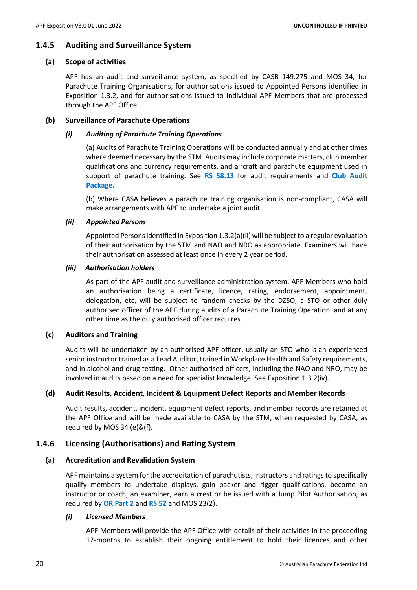#### <span id="page-21-0"></span>**1.4.5 Auditing and Surveillance System**

#### **(a) Scope of activities**

APF has an audit and surveillance system, as specified by CASR 149.275 and MOS 34, for Parachute Training Organisations, for authorisations issued to Appointed Persons identified in Exposition 1.3.2, and for authorisations issued to Individual APF Members that are processed through the APF Office.

#### **(b) Surveillance of Parachute Operations**

#### *(i) Auditing of Parachute Training Operations*

(a) Audits of Parachute Training Operations will be conducted annually and at other times where deemed necessary by the STM. Audits may include corporate matters, club member qualifications and currency requirements, and aircraft and parachute equipment used in support of parachute training. See **RS 58.13** for audit requirements and **Club Audit Package.**

(b) Where CASA believes a parachute training organisation is non-compliant, CASA will make arrangements with APF to undertake a joint audit.

#### *(ii) Appointed Persons*

Appointed Persons identified in Exposition 1.3.2(a)(ii) will be subject to a regular evaluation of their authorisation by the STM and NAO and NRO as appropriate. Examiners will have their authorisation assessed at least once in every 2 year period.

#### *(iii) Authorisation holders*

As part of the APF audit and surveillance administration system, APF Members who hold an authorisation being a certificate, licence, rating, endorsement, appointment, delegation, etc, will be subject to random checks by the DZSO, a STO or other duly authorised officer of the APF during audits of a Parachute Training Operation, and at any other time as the duly authorised officer requires.

#### **(c) Auditors and Training**

Audits will be undertaken by an authorised APF officer, usually an STO who is an experienced senior instructor trained as a Lead Auditor, trained in Workplace Health and Safety requirements, and in alcohol and drug testing. Other authorised officers, including the NAO and NRO, may be involved in audits based on a need for specialist knowledge. See Exposition 1.3.2(iv).

#### **(d) Audit Results, Accident, Incident & Equipment Defect Reports and Member Records**

Audit results, accident, incident, equipment defect reports, and member records are retained at the APF Office and will be made available to CASA by the STM, when requested by CASA, as required by MOS 34 (e)&(f).

#### <span id="page-21-1"></span>**1.4.6 Licensing (Authorisations) and Rating System**

#### **(a) Accreditation and Revalidation System**

APF maintains a system for the accreditation of parachutists, instructors and ratings to specifically qualify members to undertake displays, gain packer and rigger qualifications, become an instructor or coach, an examiner, earn a crest or be issued with a Jump Pilot Authorisation, as required by **OR Part 2** and **RS 52** and MOS 23(2).

#### *(i) Licensed Members*

APF Members will provide the APF Office with details of their activities in the proceeding 12-months to establish their ongoing entitlement to hold their licences and other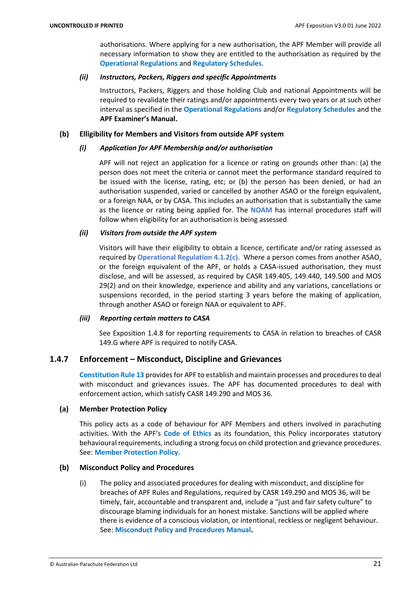authorisations. Where applying for a new authorisation, the APF Member will provide all necessary information to show they are entitled to the authorisation as required by the **Operational Regulations** and **Regulatory Schedules**.

#### *(ii) Instructors, Packers, Riggers and specific Appointments*

Instructors, Packers, Riggers and those holding Club and national Appointments will be required to revalidate their ratings and/or appointments every two years or at such other interval as specified in the **Operational Regulations** and/or **Regulatory Schedules** and the **APF Examiner's Manual.**

#### **(b) Elligibility for Members and Visitors from outside APF system**

#### *(i) Application for APF Membership and/or authorisation*

APF will not reject an application for a licence or rating on grounds other than: (a) the person does not meet the criteria or cannot meet the performance standard required to be issued with the license, rating, etc; or (b) the person has been denied, or had an authorisation suspended, varied or cancelled by another ASAO or the foreign equivalent, or a foreign NAA, or by CASA. This includes an authorisation that is substantially the same as the licence or rating being applied for. The **NOAM** has internal procedures staff will follow when eligibility for an authorisation is being assessed.

#### *(ii) Visitors from outside the APF system*

Visitors will have their eligibility to obtain a licence, certificate and/or rating assessed as required by **Operational Regulation 4.1.2(c)**. Where a person comes from another ASAO, or the foreign equivalent of the APF, or holds a CASA-issued authorisation, they must disclose, and will be assessed, as required by CASR 149.405, 149.440, 149.500 and MOS 29(2) and on their knowledge, experience and ability and any variations, cancellations or suspensions recorded, in the period starting 3 years before the making of application, through another ASAO or foreign NAA or equivalent to APF.

# *(iii) Reporting certain matters to CASA*

See Exposition 1.4.8 for reporting requirements to CASA in relation to breaches of CASR 149.G where APF is required to notify CASA.

# <span id="page-22-0"></span>**1.4.7 Enforcement – Misconduct, Discipline and Grievances**

**Constitution Rule 13** provides for APF to establish and maintain processes and procedures to deal with misconduct and grievances issues. The APF has documented procedures to deal with enforcement action, which satisfy CASR 149.290 and MOS 36.

# **(a) Member Protection Policy**

This policy acts as a code of behaviour for APF Members and others involved in parachuting activities. With the APF's **Code of Ethics** as its foundation, this Policy incorporates statutory behavioural requirements, including a strong focus on child protection and grievance procedures. See: **Member Protection Policy.**

#### **(b) Misconduct Policy and Procedures**

(i) The policy and associated procedures for dealing with misconduct, and discipline for breaches of APF Rules and Regulations, required by CASR 149.290 and MOS 36, will be timely, fair, accountable and transparent and, include a "just and fair safety culture" to discourage blaming individuals for an honest mistake. Sanctions will be applied where there is evidence of a conscious violation, or intentional, reckless or negligent behaviour. See: **Misconduct Policy and Procedures Manual.**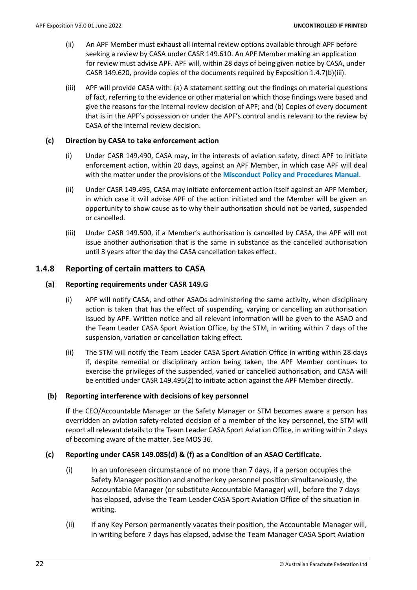- (ii) An APF Member must exhaust all internal review options available through APF before seeking a review by CASA under CASR 149.610. An APF Member making an application for review must advise APF. APF will, within 28 days of being given notice by CASA, under CASR 149.620, provide copies of the documents required by Exposition 1.4.7(b)(iii).
- (iii) APF will provide CASA with: (a) A statement setting out the findings on material questions of fact, referring to the evidence or other material on which those findings were based and give the reasons for the internal review decision of APF; and (b) Copies of every document that is in the APF's possession or under the APF's control and is relevant to the review by CASA of the internal review decision.

#### **(c) Direction by CASA to take enforcement action**

- (i) Under CASR 149.490, CASA may, in the interests of aviation safety, direct APF to initiate enforcement action, within 20 days, against an APF Member, in which case APF will deal with the matter under the provisions of the **Misconduct Policy and Procedures Manual**.
- (ii) Under CASR 149.495, CASA may initiate enforcement action itself against an APF Member, in which case it will advise APF of the action initiated and the Member will be given an opportunity to show cause as to why their authorisation should not be varied, suspended or cancelled.
- (iii) Under CASR 149.500, if a Member's authorisation is cancelled by CASA, the APF will not issue another authorisation that is the same in substance as the cancelled authorisation until 3 years after the day the CASA cancellation takes effect.

# <span id="page-23-0"></span>**1.4.8 Reporting of certain matters to CASA**

# **(a) Reporting requirements under CASR 149.G**

- (i) APF will notify CASA, and other ASAOs administering the same activity, when disciplinary action is taken that has the effect of suspending, varying or cancelling an authorisation issued by APF. Written notice and all relevant information will be given to the ASAO and the Team Leader CASA Sport Aviation Office, by the STM, in writing within 7 days of the suspension, variation or cancellation taking effect.
- (ii) The STM will notify the Team Leader CASA Sport Aviation Office in writing within 28 days if, despite remedial or disciplinary action being taken, the APF Member continues to exercise the privileges of the suspended, varied or cancelled authorisation, and CASA will be entitled under CASR 149.495(2) to initiate action against the APF Member directly.

#### **(b) Reporting interference with decisions of key personnel**

If the CEO/Accountable Manager or the Safety Manager or STM becomes aware a person has overridden an aviation safety-related decision of a member of the key personnel, the STM will report all relevant details to the Team Leader CASA Sport Aviation Office, in writing within 7 days of becoming aware of the matter. See MOS 36.

# **(c) Reporting under CASR 149.085(d) & (f) as a Condition of an ASAO Certificate.**

- (i) In an unforeseen circumstance of no more than 7 days, if a person occupies the Safety Manager position and another key personnel position simultaneiously, the Accountable Manager (or substitute Accountable Manager) will, before the 7 days has elapsed, advise the Team Leader CASA Sport Aviation Office of the situation in writing.
- (ii) If any Key Person permanently vacates their position, the Accountable Manager will, in writing before 7 days has elapsed, advise the Team Manager CASA Sport Aviation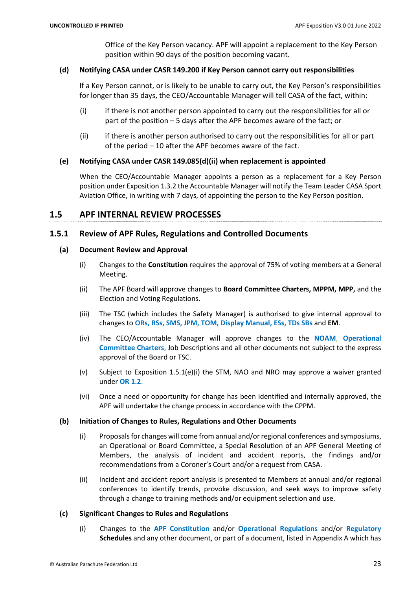Office of the Key Person vacancy. APF will appoint a replacement to the Key Person position within 90 days of the position becoming vacant.

#### **(d) Notifying CASA under CASR 149.200 if Key Person cannot carry out responsibilities**

If a Key Person cannot, or is likely to be unable to carry out, the Key Person's responsibilities for longer than 35 days, the CEO/Accountable Manager will tell CASA of the fact, within:

- (i) if there is not another person appointed to carry out the responsibilities for all or part of the position – 5 days after the APF becomes aware of the fact; or
- (ii) if there is another person authorised to carry out the responsibilities for all or part of the period – 10 after the APF becomes aware of the fact.

# **(e) Notifying CASA under CASR 149.085(d)(ii) when replacement is appointed**

When the CEO/Accountable Manager appoints a person as a replacement for a Key Person position under Exposition 1.3.2 the Accountable Manager will notify the Team Leader CASA Sport Aviation Office, in writing with 7 days, of appointing the person to the Key Person position.

# <span id="page-24-0"></span>**1.5 APF INTERNAL REVIEW PROCESSES**

# <span id="page-24-1"></span>**1.5.1 Review of APF Rules, Regulations and Controlled Documents**

#### **(a) Document Review and Approval**

- (i) Changes to the **Constitution** requires the approval of 75% of voting members at a General Meeting.
- (ii) The APF Board will approve changes to **Board Committee Charters, MPPM, MPP,** and the Election and Voting Regulations.
- (iii) The TSC (which includes the Safety Manager) is authorised to give internal approval to changes to **ORs, RSs, SMS, JPM, TOM, Display Manual, ESs, TDs SBs** and **EM**.
- (iv) The CEO/Accountable Manager will approve changes to the **NOAM**, **Operational Committee Charters,** Job Descriptions and all other documents not subject to the express approval of the Board or TSC.
- (v) Subject to Exposition 1.5.1(e)(i) the STM, NAO and NRO may approve a waiver granted under **OR 1.2**.
- (vi) Once a need or opportunity for change has been identified and internally approved, the APF will undertake the change process in accordance with the CPPM.

#### **(b) Initiation of Changes to Rules, Regulations and Other Documents**

- (i) Proposalsfor changes will come from annual and/orregional conferences and symposiums, an Operational or Board Committee, a Special Resolution of an APF General Meeting of Members, the analysis of incident and accident reports, the findings and/or recommendations from a Coroner's Court and/or a request from CASA.
- (ii) Incident and accident report analysis is presented to Members at annual and/or regional conferences to identify trends, provoke discussion, and seek ways to improve safety through a change to training methods and/or equipment selection and use.

#### **(c) Significant Changes to Rules and Regulations**

(i) Changes to the **APF Constitution** and/or **Operational Regulations** and/or **Regulatory Schedules** and any other document, or part of a document, listed in Appendix A which has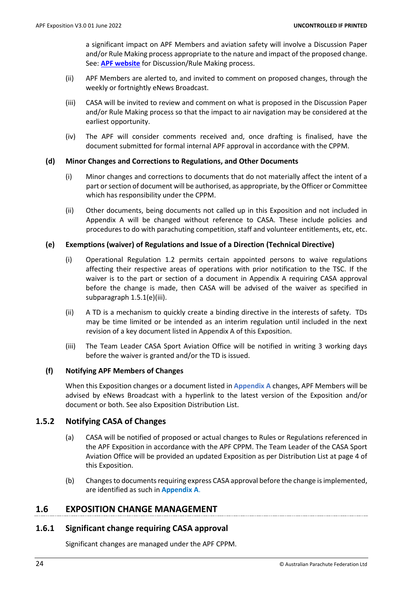a significant impact on APF Members and aviation safety will involve a Discussion Paper and/or Rule Making process appropriate to the nature and impact of the proposed change. See: **[APF website](https://www.apf.com.au/apf-members/discussion-and-feedback/discussion-and-feedback)** for Discussion/Rule Making process.

- (ii) APF Members are alerted to, and invited to comment on proposed changes, through the weekly or fortnightly eNews Broadcast.
- (iii) CASA will be invited to review and comment on what is proposed in the Discussion Paper and/or Rule Making process so that the impact to air navigation may be considered at the earliest opportunity.
- (iv) The APF will consider comments received and, once drafting is finalised, have the document submitted for formal internal APF approval in accordance with the CPPM.

# **(d) Minor Changes and Corrections to Regulations, and Other Documents**

- (i) Minor changes and corrections to documents that do not materially affect the intent of a part or section of document will be authorised, as appropriate, by the Officer or Committee which has responsibility under the CPPM.
- (ii) Other documents, being documents not called up in this Exposition and not included in Appendix A will be changed without reference to CASA. These include policies and procedures to do with parachuting competition, staff and volunteer entitlements, etc, etc.

# **(e) Exemptions (waiver) of Regulations and Issue of a Direction (Technical Directive)**

- (i) Operational Regulation 1.2 permits certain appointed persons to waive regulations affecting their respective areas of operations with prior notification to the TSC. If the waiver is to the part or section of a document in Appendix A requiring CASA approval before the change is made, then CASA will be advised of the waiver as specified in subparagraph 1.5.1(e)(iii).
- (ii) A TD is a mechanism to quickly create a binding directive in the interests of safety. TDs may be time limited or be intended as an interim regulation until included in the next revision of a key document listed in Appendix A of this Exposition.
- (iii) The Team Leader CASA Sport Aviation Office will be notified in writing 3 working days before the waiver is granted and/or the TD is issued.

# **(f) Notifying APF Members of Changes**

When this Exposition changes or a document listed in **Appendix A** changes, APF Members will be advised by eNews Broadcast with a hyperlink to the latest version of the Exposition and/or document or both. See also Exposition Distribution List.

# <span id="page-25-0"></span>**1.5.2 Notifying CASA of Changes**

- (a) CASA will be notified of proposed or actual changes to Rules or Regulations referenced in the APF Exposition in accordance with the APF CPPM. The Team Leader of the CASA Sport Aviation Office will be provided an updated Exposition as per Distribution List at page 4 of this Exposition.
- (b) Changes to documents requiring express CASA approval before the change is implemented, are identified as such in **Appendix A**.

# <span id="page-25-1"></span>**1.6 EXPOSITION CHANGE MANAGEMENT**

# <span id="page-25-2"></span>**1.6.1 Significant change requiring CASA approval**

Significant changes are managed under the APF CPPM.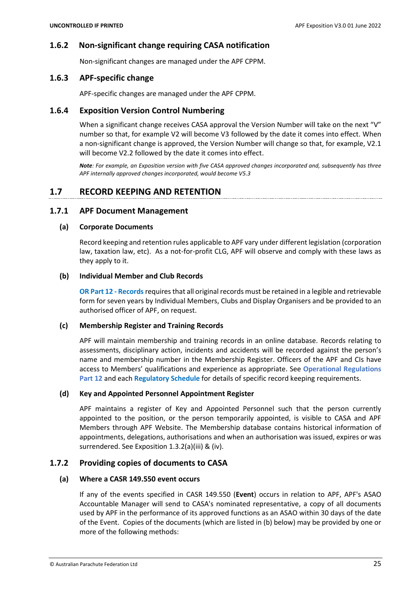# <span id="page-26-0"></span>**1.6.2 Non-significant change requiring CASA notification**

Non-significant changes are managed under the APF CPPM.

# <span id="page-26-1"></span>**1.6.3 APF-specific change**

APF-specific changes are managed under the APF CPPM.

# <span id="page-26-2"></span>**1.6.4 Exposition Version Control Numbering**

When a significant change receives CASA approval the Version Number will take on the next "V" number so that, for example V2 will become V3 followed by the date it comes into effect. When a non-significant change is approved, the Version Number will change so that, for example, V2.1 will become V2.2 followed by the date it comes into effect.

*Note: For example, an Exposition version with five CASA approved changes incorporated and, subsequently has three APF internally approved changes incorporated, would become V5.3*

# <span id="page-26-3"></span>**1.7 RECORD KEEPING AND RETENTION**

# <span id="page-26-4"></span>**1.7.1 APF Document Management**

#### **(a) Corporate Documents**

Record keeping and retention rules applicable to APF vary under different legislation (corporation law, taxation law, etc). As a not-for-profit CLG, APF will observe and comply with these laws as they apply to it.

#### **(b) Individual Member and Club Records**

**OR Part 12 - Records** requires that all original records must be retained in a legible and retrievable form for seven years by Individual Members, Clubs and Display Organisers and be provided to an authorised officer of APF, on request.

#### **(c) Membership Register and Training Records**

APF will maintain membership and training records in an online database. Records relating to assessments, disciplinary action, incidents and accidents will be recorded against the person's name and membership number in the Membership Register. Officers of the APF and CIs have access to Members' qualifications and experience as appropriate. See **Operational Regulations Part 12** and each **Regulatory Schedule** for details of specific record keeping requirements.

#### **(d) Key and Appointed Personnel Appointment Register**

APF maintains a register of Key and Appointed Personnel such that the person currently appointed to the position, or the person temporarily appointed, is visible to CASA and APF Members through APF Website. The Membership database contains historical information of appointments, delegations, authorisations and when an authorisation was issued, expires or was surrendered. See Exposition 1.3.2(a)(iii) & (iv).

# <span id="page-26-5"></span>**1.7.2 Providing copies of documents to CASA**

#### **(a) Where a CASR 149.550 event occurs**

If any of the events specified in CASR 149.550 (**Event**) occurs in relation to APF, APF's ASAO Accountable Manager will send to CASA's nominated representative, a copy of all documents used by APF in the performance of its approved functions as an ASAO within 30 days of the date of the Event. Copies of the documents (which are listed in (b) below) may be provided by one or more of the following methods: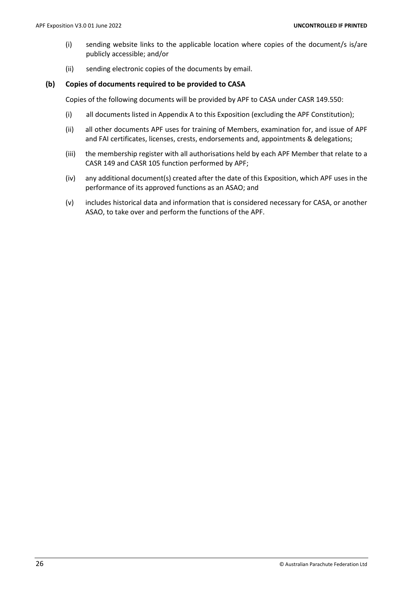- (i) sending website links to the applicable location where copies of the document/s is/are publicly accessible; and/or
- (ii) sending electronic copies of the documents by email.

#### **(b) Copies of documents required to be provided to CASA**

Copies of the following documents will be provided by APF to CASA under CASR 149.550:

- (i) all documents listed in Appendix A to this Exposition (excluding the APF Constitution);
- (ii) all other documents APF uses for training of Members, examination for, and issue of APF and FAI certificates, licenses, crests, endorsements and, appointments & delegations;
- (iii) the membership register with all authorisations held by each APF Member that relate to a CASR 149 and CASR 105 function performed by APF;
- (iv) any additional document(s) created after the date of this Exposition, which APF uses in the performance of its approved functions as an ASAO; and
- (v) includes historical data and information that is considered necessary for CASA, or another ASAO, to take over and perform the functions of the APF.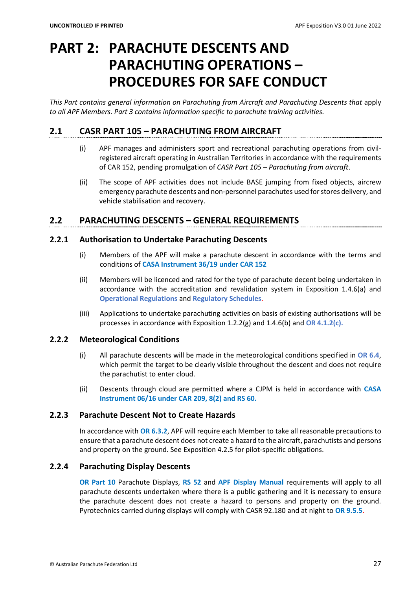# <span id="page-28-0"></span>**PART 2: PARACHUTE DESCENTS AND PARACHUTING OPERATIONS – PROCEDURES FOR SAFE CONDUCT**

*This Part contains general information on Parachuting from Aircraft and Parachuting Descents that* apply *to all APF Members. Part 3 contains information specific to parachute training activities.*

# <span id="page-28-1"></span>**2.1 CASR PART 105 – PARACHUTING FROM AIRCRAFT**

- (i) APF manages and administers sport and recreational parachuting operations from civilregistered aircraft operating in Australian Territories in accordance with the requirements of CAR 152, pending promulgation of *CASR Part 105 – Parachuting from aircraft*.
- (ii) The scope of APF activities does not include BASE jumping from fixed objects, aircrew emergency parachute descents and non-personnel parachutes used for stores delivery, and vehicle stabilisation and recovery.

# <span id="page-28-2"></span>**2.2 PARACHUTING DESCENTS – GENERAL REQUIREMENTS**

# <span id="page-28-3"></span>**2.2.1 Authorisation to Undertake Parachuting Descents**

- (i) Members of the APF will make a parachute descent in accordance with the terms and conditions of **CASA Instrument 36/19 under CAR 152**
- (ii) Members will be licenced and rated for the type of parachute decent being undertaken in accordance with the accreditation and revalidation system in Exposition 1.4.6(a) and **Operational Regulations** and **Regulatory Schedules**.
- (iii) Applications to undertake parachuting activities on basis of existing authorisations will be processes in accordance with Exposition 1.2.2(g) and 1.4.6(b) and **OR 4.1.2(c).**

# <span id="page-28-4"></span>**2.2.2 Meteorological Conditions**

- (i) All parachute descents will be made in the meteorological conditions specified in **OR 6.4**, which permit the target to be clearly visible throughout the descent and does not require the parachutist to enter cloud.
- (ii) Descents through cloud are permitted where a CJPM is held in accordance with **CASA Instrument 06/16 under CAR 209, 8(2) and RS 60.**

# <span id="page-28-5"></span>**2.2.3 Parachute Descent Not to Create Hazards**

In accordance with **OR 6.3.2**, APF will require each Member to take all reasonable precautions to ensure that a parachute descent does not create a hazard to the aircraft, parachutists and persons and property on the ground. See Exposition 4.2.5 for pilot-specific obligations.

# <span id="page-28-6"></span>**2.2.4 Parachuting Display Descents**

**OR Part 10** Parachute Displays, **RS 52** and **APF Display Manual** requirements will apply to all parachute descents undertaken where there is a public gathering and it is necessary to ensure the parachute descent does not create a hazard to persons and property on the ground. Pyrotechnics carried during displays will comply with CASR 92.180 and at night to **OR 9.5.5**.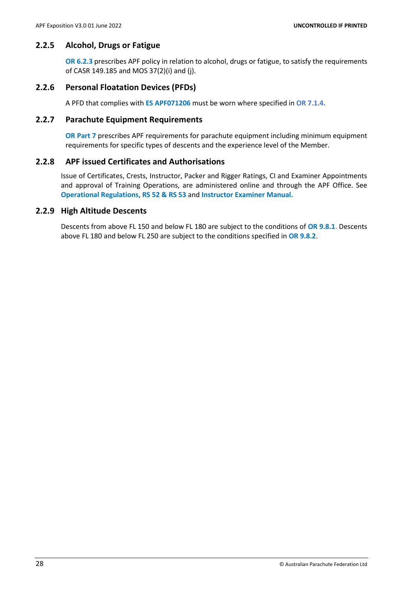# <span id="page-29-0"></span>**2.2.5 Alcohol, Drugs or Fatigue**

**OR 6.2.3** prescribes APF policy in relation to alcohol, drugs or fatigue, to satisfy the requirements of CASR 149.185 and MOS 37(2)(i) and (j).

# <span id="page-29-1"></span>**2.2.6 Personal Floatation Devices (PFDs)**

A PFD that complies with **ES APF071206** must be worn where specified in **OR 7.1.4.**

# <span id="page-29-2"></span>**2.2.7 Parachute Equipment Requirements**

**OR Part 7** prescribes APF requirements for parachute equipment including minimum equipment requirements for specific types of descents and the experience level of the Member.

# <span id="page-29-3"></span>**2.2.8 APF issued Certificates and Authorisations**

Issue of Certificates, Crests, Instructor, Packer and Rigger Ratings, CI and Examiner Appointments and approval of Training Operations, are administered online and through the APF Office. See **Operational Regulations**, **RS 52 & RS 53** and **Instructor Examiner Manual.** 

# **2.2.9 High Altitude Descents**

Descents from above FL 150 and below FL 180 are subject to the conditions of **OR 9.8.1**. Descents above FL 180 and below FL 250 are subject to the conditions specified in **OR 9.8.2**.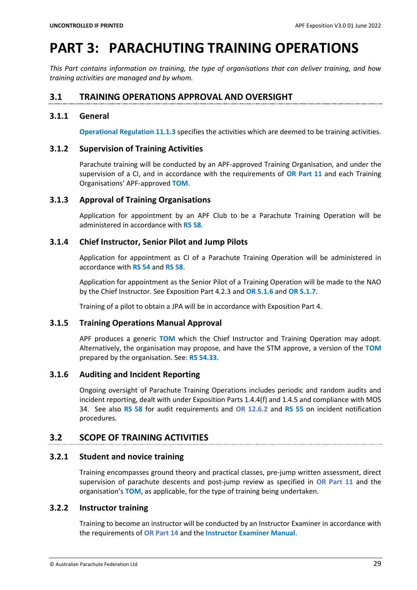# <span id="page-30-0"></span>**PART 3: PARACHUTING TRAINING OPERATIONS**

*This Part contains information on training, the type of organisations that can deliver training, and how training activities are managed and by whom.*

# <span id="page-30-1"></span>**3.1 TRAINING OPERATIONS APPROVAL AND OVERSIGHT**

#### <span id="page-30-2"></span>**3.1.1 General**

**Operational Regulation 11.1.3** specifies the activities which are deemed to be training activities.

#### <span id="page-30-3"></span>**3.1.2 Supervision of Training Activities**

Parachute training will be conducted by an APF-approved Training Organisation, and under the supervision of a CI, and in accordance with the requirements of **OR Part 11** and each Training Organisations' APF-approved **TOM**.

#### <span id="page-30-4"></span>**3.1.3 Approval of Training Organisations**

Application for appointment by an APF Club to be a Parachute Training Operation will be administered in accordance with **RS 58**.

# <span id="page-30-5"></span>**3.1.4 Chief Instructor, Senior Pilot and Jump Pilots**

Application for appointment as CI of a Parachute Training Operation will be administered in accordance with **RS 54** and **RS 58**.

Application for appointment as the Senior Pilot of a Training Operation will be made to the NAO by the Chief Instructor. See Exposition Part 4.2.3 and **OR 5.1.6** and **OR 5.1.7**.

Training of a pilot to obtain a JPA will be in accordance with Exposition Part 4.

#### <span id="page-30-6"></span>**3.1.5 Training Operations Manual Approval**

APF produces a generic **TOM** which the Chief Instructor and Training Operation may adopt. Alternatively, the organisation may propose, and have the STM approve, a version of the **TOM** prepared by the organisation. See: **RS 54.33**.

# <span id="page-30-7"></span>**3.1.6 Auditing and Incident Reporting**

Ongoing oversight of Parachute Training Operations includes periodic and random audits and incident reporting, dealt with under Exposition Parts 1.4.4(f) and 1.4.5 and compliance with MOS 34. See also **RS 58** for audit requirements and **OR 12.6.2** and **RS 55** on incident notification procedures.

# <span id="page-30-8"></span>**3.2 SCOPE OF TRAINING ACTIVITIES**

# <span id="page-30-9"></span>**3.2.1 Student and novice training**

Training encompasses ground theory and practical classes, pre-jump written assessment, direct supervision of parachute descents and post-jump review as specified in **OR Part 11** and the organisation's **TOM**, as applicable, for the type of training being undertaken.

# <span id="page-30-10"></span>**3.2.2 Instructor training**

Training to become an instructor will be conducted by an Instructor Examiner in accordance with the requirements of **OR Part 14** and the **Instructor Examiner Manual**.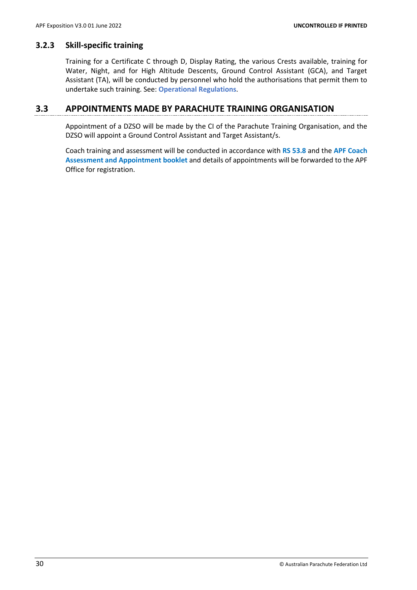#### <span id="page-31-0"></span>**3.2.3 Skill-specific training**

Training for a Certificate C through D, Display Rating, the various Crests available, training for Water, Night, and for High Altitude Descents, Ground Control Assistant (GCA), and Target Assistant (TA), will be conducted by personnel who hold the authorisations that permit them to undertake such training. See: **Operational Regulations**.

# <span id="page-31-1"></span>**3.3 APPOINTMENTS MADE BY PARACHUTE TRAINING ORGANISATION**

Appointment of a DZSO will be made by the CI of the Parachute Training Organisation, and the DZSO will appoint a Ground Control Assistant and Target Assistant/s.

Coach training and assessment will be conducted in accordance with **RS 53.8** and the **APF Coach Assessment and Appointment booklet** and details of appointments will be forwarded to the APF Office for registration.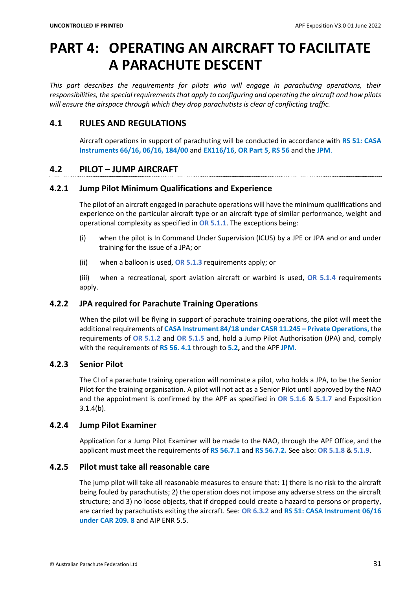# <span id="page-32-0"></span>**PART 4: OPERATING AN AIRCRAFT TO FACILITATE A PARACHUTE DESCENT**

*This part describes the requirements for pilots who will engage in parachuting operations, their responsibilities, the special requirements that apply to configuring and operating the aircraft and how pilots will ensure the airspace through which they drop parachutists is clear of conflicting traffic.*

# <span id="page-32-1"></span>**4.1 RULES AND REGULATIONS**

Aircraft operations in support of parachuting will be conducted in accordance with **RS 51: CASA Instruments 66/16, 06/16, 184/00** and **EX116/16**, **OR Part 5**, **RS 56** and the **JPM**.

# <span id="page-32-2"></span>**4.2 PILOT – JUMP AIRCRAFT**

# <span id="page-32-3"></span>**4.2.1 Jump Pilot Minimum Qualifications and Experience**

The pilot of an aircraft engaged in parachute operations will have the minimum qualifications and experience on the particular aircraft type or an aircraft type of similar performance, weight and operational complexity as specified in **OR 5.1.1**. The exceptions being:

- (i) when the pilot is In Command Under Supervision (ICUS) by a JPE or JPA and or and under training for the issue of a JPA; or
- (ii) when a balloon is used, **OR 5.1.3** requirements apply; or

(iii) when a recreational, sport aviation aircraft or warbird is used, **OR 5.1.4** requirements apply.

# <span id="page-32-4"></span>**4.2.2 JPA required for Parachute Training Operations**

When the pilot will be flying in support of parachute training operations, the pilot will meet the additional requirements of **CASA Instrument 84/18 under CASR 11.245 – Private Operations,** the requirements of **OR 5.1.2** and **OR 5.1.5** and, hold a Jump Pilot Authorisation (JPA) and, comply with the requirements of **RS 56. 4.1** through to **5.2,** and the APF **JPM.**

# <span id="page-32-5"></span>**4.2.3 Senior Pilot**

The CI of a parachute training operation will nominate a pilot, who holds a JPA, to be the Senior Pilot for the training organisation. A pilot will not act as a Senior Pilot until approved by the NAO and the appointment is confirmed by the APF as specified in **OR 5.1.6** & **5.1.7** and Exposition 3.1.4(b).

# <span id="page-32-6"></span>**4.2.4 Jump Pilot Examiner**

Application for a Jump Pilot Examiner will be made to the NAO, through the APF Office, and the applicant must meet the requirements of **RS 56.7.1** and **RS 56.7.2.** See also: **OR 5.1.8** & **5.1.9**.

# <span id="page-32-7"></span>**4.2.5 Pilot must take all reasonable care**

The jump pilot will take all reasonable measures to ensure that: 1) there is no risk to the aircraft being fouled by parachutists; 2) the operation does not impose any adverse stress on the aircraft structure; and 3) no loose objects, that if dropped could create a hazard to persons or property, are carried by parachutists exiting the aircraft. See: **OR 6.3.2** and **RS 51: CASA Instrument 06/16 under CAR 209. 8** and AIP ENR 5.5.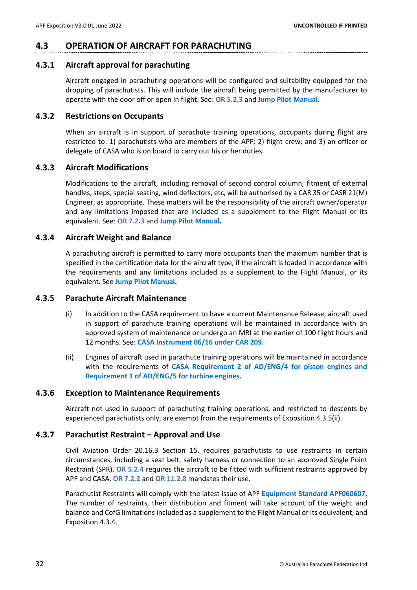# <span id="page-33-0"></span>**4.3 OPERATION OF AIRCRAFT FOR PARACHUTING**

#### <span id="page-33-1"></span>**4.3.1 Aircraft approval for parachuting**

Aircraft engaged in parachuting operations will be configured and suitability equipped for the dropping of parachutists. This will include the aircraft being permitted by the manufacturer to operate with the door off or open in flight. See: **OR 5.2.3** and **Jump Pilot Manual**.

#### <span id="page-33-2"></span>**4.3.2 Restrictions on Occupants**

When an aircraft is in support of parachute training operations, occupants during flight are restricted to: 1) parachutists who are members of the APF; 2) flight crew; and 3) an officer or delegate of CASA who is on board to carry out his or her duties.

#### <span id="page-33-3"></span>**4.3.3 Aircraft Modifications**

Modifications to the aircraft, including removal of second control column, fitment of external handles, steps, special seating, wind deflectors, etc, will be authorised by a CAR 35 or CASR 21(M) Engineer, as appropriate. These matters will be the responsibility of the aircraft owner/operator and any limitations imposed that are included as a supplement to the Flight Manual or its equivalent. See: **OR 7.2.3** and **Jump Pilot Manual.**

#### <span id="page-33-4"></span>**4.3.4 Aircraft Weight and Balance**

A parachuting aircraft is permitted to carry more occupants than the maximum number that is specified in the certification data for the aircraft type, if the aircraft is loaded in accordance with the requirements and any limitations included as a supplement to the Flight Manual, or its equivalent. See **Jump Pilot Manual.**

#### <span id="page-33-5"></span>**4.3.5 Parachute Aircraft Maintenance**

- (i) In addition to the CASA requirement to have a current Maintenance Release, aircraft used in support of parachute training operations will be maintained in accordance with an approved system of maintenance or undergo an MRI at the earlier of 100 flight hours and 12 months. See: **CASA Instrument 06/16 under CAR 209.**
- (ii) Engines of aircraft used in parachute training operations will be maintained in accordance with the requirements of **CASA Requirement 2 of AD/ENG/4 for piston engines and Requirement 1 of AD/ENG/5 for turbine engines.**

#### <span id="page-33-6"></span>**4.3.6 Exception to Maintenance Requirements**

Aircraft not used in support of parachuting training operations, and restricted to descents by experienced parachutists only, are exempt from the requirements of Exposition 4.3.5(ii).

# <span id="page-33-7"></span>**4.3.7 Parachutist Restraint – Approval and Use**

Civil Aviation Order 20.16.3 Section 15, requires parachutists to use restraints in certain circumstances, including a seat belt, safety harness or connection to an approved Single Point Restraint (SPR). **OR 5.2.4** requires the aircraft to be fitted with sufficient restraints approved by APF and CASA. **OR 7.2.2** and **OR 11.2.8** mandates their use.

Parachutist Restraints will comply with the latest issue of APF **Equipment Standard APF060607**. The number of restraints, their distribution and fitment will take account of the weight and balance and CofG limitations included as a supplement to the Flight Manual or its equivalent, and Exposition 4.3.4.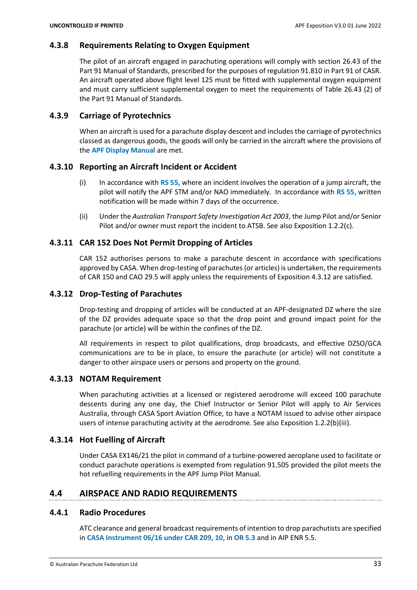# <span id="page-34-0"></span>**4.3.8 Requirements Relating to Oxygen Equipment**

The pilot of an aircraft engaged in parachuting operations will comply with section 26.43 of the Part 91 Manual of Standards, prescribed for the purposes of regulation 91.810 in Part 91 of CASR. An aircraft operated above flight level 125 must be fitted with supplemental oxygen equipment and must carry sufficient supplemental oxygen to meet the requirements of Table 26.43 (2) of the Part 91 Manual of Standards.

# <span id="page-34-1"></span>**4.3.9 Carriage of Pyrotechnics**

When an aircraft is used for a parachute display descent and includes the carriage of pyrotechnics classed as dangerous goods, the goods will only be carried in the aircraft where the provisions of the **APF Display Manual** are met.

# <span id="page-34-2"></span>**4.3.10 Reporting an Aircraft Incident or Accident**

- (i) In accordance with **RS 55,** where an incident involves the operation of a jump aircraft, the pilot will notify the APF STM and/or NAO immediately. In accordance with **RS 55,** written notification will be made within 7 days of the occurrence.
- (ii) Under the *Australian Transport Safety Investigation Act 2003*, the Jump Pilot and/or Senior Pilot and/or owner must report the incident to ATSB. See also Exposition 1.2.2(c).

# <span id="page-34-3"></span>**4.3.11 CAR 152 Does Not Permit Dropping of Articles**

CAR 152 authorises persons to make a parachute descent in accordance with specifications approved by CASA. When drop-testing of parachutes (or articles) is undertaken, the requirements of CAR 150 and CAO 29.5 will apply unless the requirements of Exposition 4.3.12 are satisfied.

# <span id="page-34-4"></span>**4.3.12 Drop-Testing of Parachutes**

Drop-testing and dropping of articles will be conducted at an APF-designated DZ where the size of the DZ provides adequate space so that the drop point and ground impact point for the parachute (or article) will be within the confines of the DZ.

All requirements in respect to pilot qualifications, drop broadcasts, and effective DZSO/GCA communications are to be in place, to ensure the parachute (or article) will not constitute a danger to other airspace users or persons and property on the ground.

# <span id="page-34-5"></span>**4.3.13 NOTAM Requirement**

When parachuting activities at a licensed or registered aerodrome will exceed 100 parachute descents during any one day, the Chief Instructor or Senior Pilot will apply to Air Services Australia, through CASA Sport Aviation Office, to have a NOTAM issued to advise other airspace users of intense parachuting activity at the aerodrome. See also Exposition 1.2.2(b)(iii).

# <span id="page-34-6"></span>**4.3.14 Hot Fuelling of Aircraft**

Under CASA EX146/21 the pilot in command of a turbine-powered aeroplane used to facilitate or conduct parachute operations is exempted from regulation 91.505 provided the pilot meets the hot refuelling requirements in the APF Jump Pilot Manual.

# <span id="page-34-7"></span>**4.4 AIRSPACE AND RADIO REQUIREMENTS**

# <span id="page-34-8"></span>**4.4.1 Radio Procedures**

ATC clearance and general broadcast requirements of intention to drop parachutists are specified in **CASA Instrument 06/16 under CAR 209, 10**, in **OR 5.3** and in AIP ENR 5.5.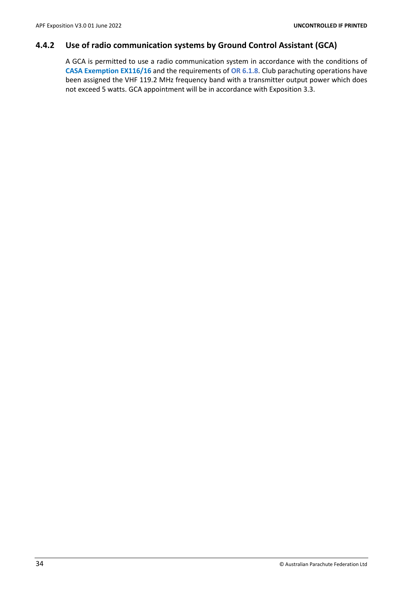# <span id="page-35-0"></span>**4.4.2 Use of radio communication systems by Ground Control Assistant (GCA)**

A GCA is permitted to use a radio communication system in accordance with the conditions of **CASA Exemption EX116/16** and the requirements of **OR 6.1.8**. Club parachuting operations have been assigned the VHF 119.2 MHz frequency band with a transmitter output power which does not exceed 5 watts. GCA appointment will be in accordance with Exposition 3.3.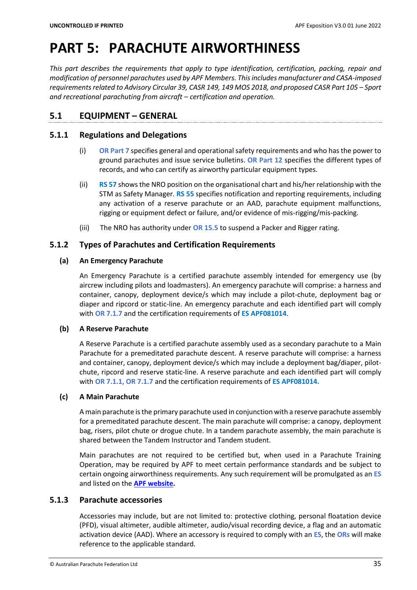# <span id="page-36-0"></span>**PART 5: PARACHUTE AIRWORTHINESS**

*This part describes the requirements that apply to type identification, certification, packing, repair and modification of personnel parachutes used by APF Members. Thisincludes manufacturer and CASA-imposed requirementsrelated to Advisory Circular 39, CASR 149, 149 MOS 2018, and proposed CASR Part 105 – Sport and recreational parachuting from aircraft – certification and operation.*

# <span id="page-36-1"></span>**5.1 EQUIPMENT – GENERAL**

# <span id="page-36-2"></span>**5.1.1 Regulations and Delegations**

- (i) **OR Part 7** specifies general and operational safety requirements and who has the power to ground parachutes and issue service bulletins. **OR Part 12** specifies the different types of records, and who can certify as airworthy particular equipment types.
- (ii) **RS 57** shows the NRO position on the organisational chart and his/her relationship with the STM as Safety Manager. **RS 55** specifies notification and reporting requirements, including any activation of a reserve parachute or an AAD, parachute equipment malfunctions, rigging or equipment defect or failure, and/or evidence of mis-rigging/mis-packing.
- (iii) The NRO has authority under **OR 15.5** to suspend a Packer and Rigger rating.

# <span id="page-36-3"></span>**5.1.2 Types of Parachutes and Certification Requirements**

# **(a) An Emergency Parachute**

An Emergency Parachute is a certified parachute assembly intended for emergency use (by aircrew including pilots and loadmasters). An emergency parachute will comprise: a harness and container, canopy, deployment device/s which may include a pilot-chute, deployment bag or diaper and ripcord or static-line. An emergency parachute and each identified part will comply with **OR 7.1.7** and the certification requirements of **ES APF081014**.

# **(b) A Reserve Parachute**

A Reserve Parachute is a certified parachute assembly used as a secondary parachute to a Main Parachute for a premeditated parachute descent. A reserve parachute will comprise: a harness and container, canopy, deployment device/s which may include a deployment bag/diaper, pilotchute, ripcord and reserve static-line. A reserve parachute and each identified part will comply with **OR 7.1.1, OR 7.1.7** and the certification requirements of **ES APF081014.**

# **(c) A Main Parachute**

A main parachute is the primary parachute used in conjunction with a reserve parachute assembly for a premeditated parachute descent. The main parachute will comprise: a canopy, deployment bag, risers, pilot chute or drogue chute. In a tandem parachute assembly, the main parachute is shared between the Tandem Instructor and Tandem student.

Main parachutes are not required to be certified but, when used in a Parachute Training Operation, may be required by APF to meet certain performance standards and be subject to certain ongoing airworthiness requirements. Any such requirement will be promulgated as an **ES** and listed on the **[APF website.](https://www.apf.com.au/)**

# <span id="page-36-4"></span>**5.1.3 Parachute accessories**

Accessories may include, but are not limited to: protective clothing, personal floatation device (PFD), visual altimeter, audible altimeter, audio/visual recording device, a flag and an automatic activation device (AAD). Where an accessory is required to comply with an **ES**, the **ORs** will make reference to the applicable standard.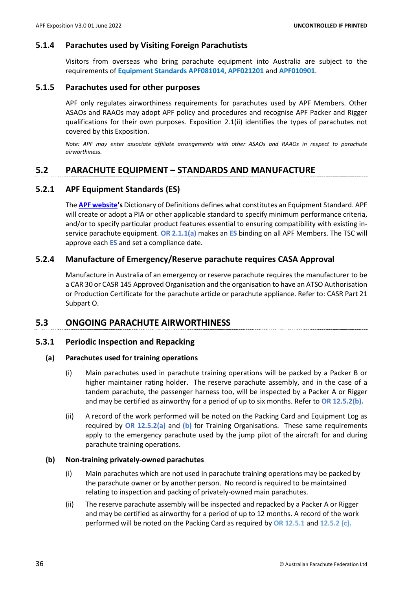#### <span id="page-37-0"></span>**5.1.4 Parachutes used by Visiting Foreign Parachutists**

Visitors from overseas who bring parachute equipment into Australia are subject to the requirements of **Equipment Standards APF081014, APF021201** and **APF010901**.

#### <span id="page-37-1"></span>**5.1.5 Parachutes used for other purposes**

APF only regulates airworthiness requirements for parachutes used by APF Members. Other ASAOs and RAAOs may adopt APF policy and procedures and recognise APF Packer and Rigger qualifications for their own purposes. Exposition 2.1(ii) identifies the types of parachutes not covered by this Exposition.

*Note: APF may enter associate affiliate arrangements with other ASAOs and RAAOs in respect to parachute airworthiness.*

# <span id="page-37-2"></span>**5.2 PARACHUTE EQUIPMENT – STANDARDS AND MANUFACTURE**

#### <span id="page-37-3"></span>**5.2.1 APF Equipment Standards (ES)**

The **[APF website](https://www.apf.com.au/)'s** Dictionary of Definitions defines what constitutes an Equipment Standard. APF will create or adopt a PIA or other applicable standard to specify minimum performance criteria, and/or to specify particular product features essential to ensuring compatibility with existing inservice parachute equipment. **OR 2.1.1(a)** makes an **ES** binding on all APF Members. The TSC will approve each **ES** and set a compliance date.

#### <span id="page-37-4"></span>**5.2.4 Manufacture of Emergency/Reserve parachute requires CASA Approval**

Manufacture in Australia of an emergency or reserve parachute requires the manufacturer to be a CAR 30 or CASR 145 Approved Organisation and the organisation to have an ATSO Authorisation or Production Certificate for the parachute article or parachute appliance. Refer to: CASR Part 21 Subpart O.

#### <span id="page-37-5"></span>**5.3 ONGOING PARACHUTE AIRWORTHINESS**

#### <span id="page-37-6"></span>**5.3.1 Periodic Inspection and Repacking**

#### **(a) Parachutes used for training operations**

- (i) Main parachutes used in parachute training operations will be packed by a Packer B or higher maintainer rating holder. The reserve parachute assembly, and in the case of a tandem parachute, the passenger harness too, will be inspected by a Packer A or Rigger and may be certified as airworthy for a period of up to six months. Refer to **OR 12.5.2(b).**
- (ii) A record of the work performed will be noted on the Packing Card and Equipment Log as required by **OR 12.5.2(a)** and **(b)** for Training Organisations. These same requirements apply to the emergency parachute used by the jump pilot of the aircraft for and during parachute training operations.

#### **(b) Non-training privately-owned parachutes**

- (i) Main parachutes which are not used in parachute training operations may be packed by the parachute owner or by another person. No record is required to be maintained relating to inspection and packing of privately-owned main parachutes.
- (ii) The reserve parachute assembly will be inspected and repacked by a Packer A or Rigger and may be certified as airworthy for a period of up to 12 months. A record of the work performed will be noted on the Packing Card as required by **OR 12.5.1** and **12.5.2 (c).**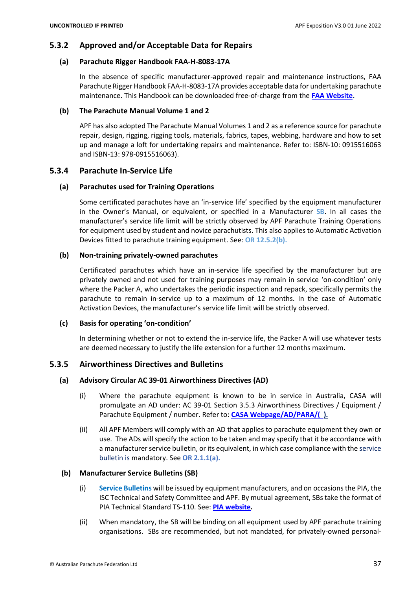# <span id="page-38-0"></span>**5.3.2 Approved and/or Acceptable Data for Repairs**

#### **(a) Parachute Rigger Handbook FAA-H-8083-17A**

In the absence of specific manufacturer-approved repair and maintenance instructions, FAA Parachute Rigger Handbook FAA-H-8083-17A provides acceptable data for undertaking parachute maintenance. This Handbook can be downloaded free-of-charge from the **[FAA Website.](https://www.faa.gov/regulations_policies/handbooks_manuals/aviation/)**

#### **(b) The Parachute Manual Volume 1 and 2**

APF has also adopted The Parachute Manual Volumes 1 and 2 as a reference source for parachute repair, design, rigging, rigging tools, materials, fabrics, tapes, webbing, hardware and how to set up and manage a loft for undertaking repairs and maintenance. Refer to: ISBN-10: 0915516063 and ISBN-13: 978-0915516063).

#### <span id="page-38-1"></span>**5.3.4 Parachute In-Service Life**

#### **(a) Parachutes used for Training Operations**

Some certificated parachutes have an 'in-service life' specified by the equipment manufacturer in the Owner's Manual, or equivalent, or specified in a Manufacturer **SB**. In all cases the manufacturer's service life limit will be strictly observed by APF Parachute Training Operations for equipment used by student and novice parachutists. This also applies to Automatic Activation Devices fitted to parachute training equipment. See: **OR 12.5.2(b).**

#### **(b) Non-training privately-owned parachutes**

Certificated parachutes which have an in-service life specified by the manufacturer but are privately owned and not used for training purposes may remain in service 'on-condition' only where the Packer A, who undertakes the periodic inspection and repack, specifically permits the parachute to remain in-service up to a maximum of 12 months. In the case of Automatic Activation Devices, the manufacturer's service life limit will be strictly observed.

#### **(c) Basis for operating 'on-condition'**

In determining whether or not to extend the in-service life, the Packer A will use whatever tests are deemed necessary to justify the life extension for a further 12 months maximum.

# <span id="page-38-2"></span>**5.3.5 Airworthiness Directives and Bulletins**

# **(a) Advisory Circular AC 39-01 Airworthiness Directives (AD)**

- (i) Where the parachute equipment is known to be in service in Australia, CASA will promulgate an AD under: AC 39-01 Section 3.5.3 Airworthiness Directives / Equipment / Parachute Equipment / number. Refer to: **CASA Webpage/AD/PARA/( ).**
- (ii) All APF Members will comply with an AD that applies to parachute equipment they own or use. The ADs will specify the action to be taken and may specify that it be accordance with a manufacturer service bulletin, or its equivalent, in which case compliance with the service bulletin is mandatory. See **OR 2.1.1(a).**

#### **(b) Manufacturer Service Bulletins (SB)**

- (i) **Service Bulletins** will be issued by equipment manufacturers, and on occasions the PIA, the ISC Technical and Safety Committee and APF. By mutual agreement, SBs take the format of PIA Technical Standard TS-110. See: **[PIA website](http://www.pia.com/)***.*
- (ii) When mandatory, the SB will be binding on all equipment used by APF parachute training organisations. SBs are recommended, but not mandated, for privately-owned personal-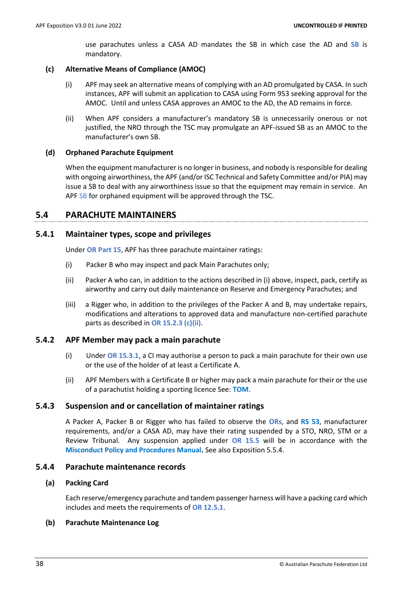use parachutes unless a CASA AD mandates the SB in which case the AD and **SB** is mandatory.

#### **(c) Alternative Means of Compliance (AMOC)**

- (i) APF may seek an alternative means of complying with an AD promulgated by CASA. In such instances, APF will submit an application to CASA using Form 953 seeking approval for the AMOC. Until and unless CASA approves an AMOC to the AD, the AD remains in force.
- (ii) When APF considers a manufacturer's mandatory SB is unnecessarily onerous or not justified, the NRO through the TSC may promulgate an APF-issued SB as an AMOC to the manufacturer's own SB.

# **(d) Orphaned Parachute Equipment**

When the equipment manufacturer is no longer in business, and nobody is responsible for dealing with ongoing airworthiness, the APF (and/or ISC Technical and Safety Committee and/or PIA) may issue a SB to deal with any airworthiness issue so that the equipment may remain in service. An APF SB for orphaned equipment will be approved through the TSC.

# <span id="page-39-0"></span>**5.4 PARACHUTE MAINTAINERS**

# <span id="page-39-1"></span>**5.4.1 Maintainer types, scope and privileges**

Under **OR Part 15**, APF has three parachute maintainer ratings:

- (i) Packer B who may inspect and pack Main Parachutes only;
- (ii) Packer A who can, in addition to the actions described in (i) above, inspect, pack, certify as airworthy and carry out daily maintenance on Reserve and Emergency Parachutes; and
- (iii) a Rigger who, in addition to the privileges of the Packer A and B, may undertake repairs, modifications and alterations to approved data and manufacture non-certified parachute parts as described in **OR 15.2.3 (c)(ii).**

#### <span id="page-39-2"></span>**5.4.2 APF Member may pack a main parachute**

- (i) Under **OR 15.3.1**, a CI may authorise a person to pack a main parachute for their own use or the use of the holder of at least a Certificate A.
- (ii) APF Members with a Certificate B or higher may pack a main parachute for their or the use of a parachutist holding a sporting licence See: **TOM**.

# <span id="page-39-3"></span>**5.4.3 Suspension and or cancellation of maintainer ratings**

A Packer A, Packer B or Rigger who has failed to observe the **ORs**, and **RS 53**, manufacturer requirements, and/or a CASA AD, may have their rating suspended by a STO, NRO, STM or a Review Tribunal. Any suspension applied under **OR 15.5** will be in accordance with the **Misconduct Policy and Procedures Manual.** See also Exposition 5.5.4.

#### <span id="page-39-4"></span>**5.4.4 Parachute maintenance records**

#### **(a) Packing Card**

Each reserve/emergency parachute and tandem passenger harness will have a packing card which includes and meets the requirements of **OR 12.5.1**.

#### **(b) Parachute Maintenance Log**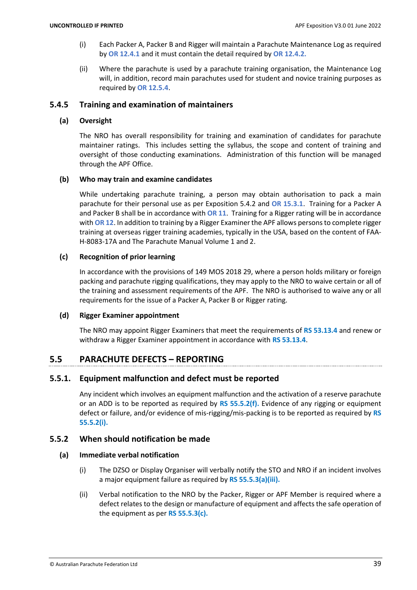- (i) Each Packer A, Packer B and Rigger will maintain a Parachute Maintenance Log as required by **OR 12.4.1** and it must contain the detail required by **OR 12.4.2.**
- (ii) Where the parachute is used by a parachute training organisation, the Maintenance Log will, in addition, record main parachutes used for student and novice training purposes as required by **OR 12.5.4**.

#### <span id="page-40-0"></span>**5.4.5 Training and examination of maintainers**

#### **(a) Oversight**

The NRO has overall responsibility for training and examination of candidates for parachute maintainer ratings. This includes setting the syllabus, the scope and content of training and oversight of those conducting examinations. Administration of this function will be managed through the APF Office.

#### **(b) Who may train and examine candidates**

While undertaking parachute training, a person may obtain authorisation to pack a main parachute for their personal use as per Exposition 5.4.2 and **OR 15.3.1**. Training for a Packer A and Packer B shall be in accordance with **OR 11**. Training for a Rigger rating will be in accordance with **OR 12**. In addition to training by a Rigger Examiner the APF allows persons to complete rigger training at overseas rigger training academies, typically in the USA, based on the content of FAA-H-8083-17A and The Parachute Manual Volume 1 and 2.

#### **(c) Recognition of prior learning**

In accordance with the provisions of 149 MOS 2018 29, where a person holds military or foreign packing and parachute rigging qualifications, they may apply to the NRO to waive certain or all of the training and assessment requirements of the APF. The NRO is authorised to waive any or all requirements for the issue of a Packer A, Packer B or Rigger rating.

#### **(d) Rigger Examiner appointment**

The NRO may appoint Rigger Examiners that meet the requirements of **RS 53.13.4** and renew or withdraw a Rigger Examiner appointment in accordance with **RS 53.13.4**.

# <span id="page-40-1"></span>**5.5 PARACHUTE DEFECTS – REPORTING**

# <span id="page-40-2"></span>**5.5.1. Equipment malfunction and defect must be reported**

Any incident which involves an equipment malfunction and the activation of a reserve parachute or an ADD is to be reported as required by **RS 55.5.2(f).** Evidence of any rigging or equipment defect or failure, and/or evidence of mis-rigging/mis-packing is to be reported as required by **RS 55.5.2(i).**

# <span id="page-40-3"></span>**5.5.2 When should notification be made**

#### **(a) Immediate verbal notification**

- (i) The DZSO or Display Organiser will verbally notify the STO and NRO if an incident involves a major equipment failure as required by **RS 55.5.3(a)(iii).**
- (ii) Verbal notification to the NRO by the Packer, Rigger or APF Member is required where a defect relates to the design or manufacture of equipment and affects the safe operation of the equipment as per **RS 55.5.3(c).**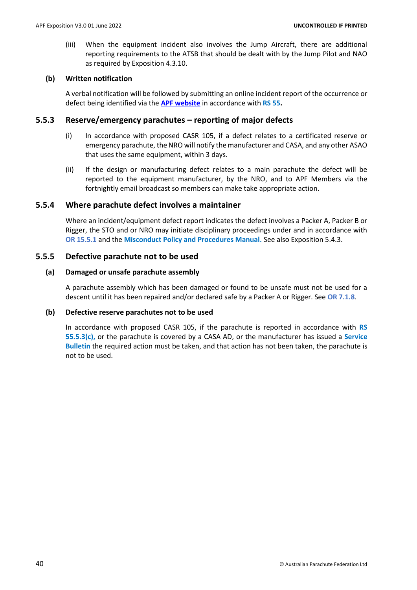(iii) When the equipment incident also involves the Jump Aircraft, there are additional reporting requirements to the ATSB that should be dealt with by the Jump Pilot and NAO as required by Exposition 4.3.10.

#### **(b) Written notification**

A verbal notification will be followed by submitting an online incident report of the occurrence or defect being identified via the **[APF website](https://www.apf.com.au/)** in accordance with **RS 55.**

#### <span id="page-41-0"></span>**5.5.3 Reserve/emergency parachutes – reporting of major defects**

- (i) In accordance with proposed CASR 105, if a defect relates to a certificated reserve or emergency parachute, the NRO will notify the manufacturer and CASA, and any other ASAO that uses the same equipment, within 3 days.
- (ii) If the design or manufacturing defect relates to a main parachute the defect will be reported to the equipment manufacturer, by the NRO, and to APF Members via the fortnightly email broadcast so members can make take appropriate action.

# <span id="page-41-1"></span>**5.5.4 Where parachute defect involves a maintainer**

Where an incident/equipment defect report indicates the defect involves a Packer A, Packer B or Rigger, the STO and or NRO may initiate disciplinary proceedings under and in accordance with **OR 15.5.1** and the **Misconduct Policy and Procedures Manual.** See also Exposition 5.4.3.

#### <span id="page-41-2"></span>**5.5.5 Defective parachute not to be used**

#### **(a) Damaged or unsafe parachute assembly**

A parachute assembly which has been damaged or found to be unsafe must not be used for a descent until it has been repaired and/or declared safe by a Packer A or Rigger. See **OR 7.1.8**.

#### **(b) Defective reserve parachutes not to be used**

In accordance with proposed CASR 105, if the parachute is reported in accordance with **RS 55.5.3(c),** or the parachute is covered by a CASA AD, or the manufacturer has issued a **Service Bulletin** the required action must be taken, and that action has not been taken, the parachute is not to be used.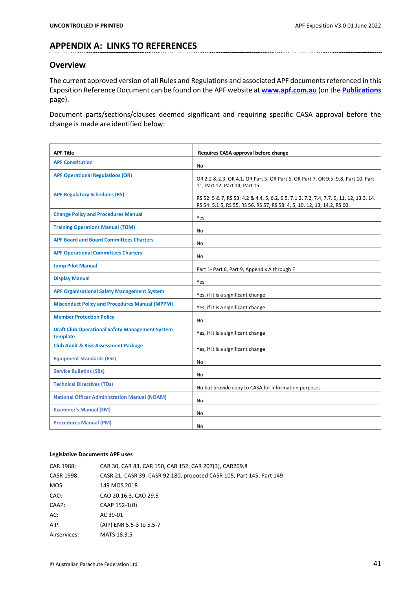# <span id="page-42-0"></span>**APPENDIX A: LINKS TO REFERENCES**

# <span id="page-42-1"></span>**Overview**

The current approved version of all Rules and Regulations and associated APF documents referenced in this Exposition Reference Document can be found on the APF website at **[www.apf.com.au](http://www.apf.com.au/)** (on the **[Publications](https://www.apf.com.au/apf-members/publications/publications)** page).

Document parts/sections/clauses deemed significant and requiring specific CASA approval before the change is made are identified below:

| <b>APF Title</b>                                                   | Requires CASA approval before change                                                                                                                                |
|--------------------------------------------------------------------|---------------------------------------------------------------------------------------------------------------------------------------------------------------------|
| <b>APF Constitution</b>                                            | <b>No</b>                                                                                                                                                           |
| <b>APF Operational Regulations (OR)</b>                            | OR 2.2 & 2.3, OR 4.1, OR Part 5, OR Part 6, OR Part 7, OR 9.5, 9.8, Part 10, Part<br>11, Part 12, Part 14, Part 15.                                                 |
| <b>APF Regulatory Schedules (RS)</b>                               | RS 52: 5 & 7, RS 53: 4.2 & 4.4, 5, 6.2, 6.5, 7.1.2, 7.2, 7.4, 7.7, 9, 11, 12, 13.3, 14.<br>RS 54: 5.1.5, RS 55, RS 56, RS 57, RS 58: 4, 5, 10, 12, 13, 14.2, RS 60. |
| <b>Change Policy and Procedures Manual</b>                         | Yes                                                                                                                                                                 |
| <b>Training Operations Manual (TOM)</b>                            | No                                                                                                                                                                  |
| <b>APF Board and Board Committees Charters</b>                     | No                                                                                                                                                                  |
| <b>APF Operational Committees Charters</b>                         | No                                                                                                                                                                  |
| <b>Jump Pilot Manual</b>                                           | Part 1- Part 6, Part 9, Appendix A through F                                                                                                                        |
| <b>Display Manual</b>                                              | Yes                                                                                                                                                                 |
| <b>APF Organisational Safety Management System</b>                 | Yes, if it is a significant change                                                                                                                                  |
| <b>Misconduct Policy and Procedures Manual (MPPM)</b>              | Yes, if it is a significant change                                                                                                                                  |
| <b>Member Protection Policy</b>                                    | No                                                                                                                                                                  |
| <b>Draft Club Operational Safety Management System</b><br>template | Yes, if it is a significant change                                                                                                                                  |
| <b>Club Audit &amp; Risk Assessment Package</b>                    | Yes, if it is a significant change                                                                                                                                  |
| <b>Equipment Standards (ESs)</b>                                   | No                                                                                                                                                                  |
| <b>Service Bulletins (SBs)</b>                                     | No                                                                                                                                                                  |
| <b>Technical Directives (TDs)</b>                                  | No but provide copy to CASA for information purposes                                                                                                                |
| <b>National Officer Administration Manual (NOAM)</b>               | No                                                                                                                                                                  |
| <b>Examiner's Manual (EM)</b>                                      | No                                                                                                                                                                  |
| <b>Procedures Manual (PM)</b>                                      | No                                                                                                                                                                  |

#### <span id="page-42-2"></span>**Legislative Documents APF uses**

| CAR 30, CAR 83, CAR 150, CAR 152, CAR 207(3), CAR209.8               |
|----------------------------------------------------------------------|
| CASR 21, CASR 39, CASR 92.180, proposed CASR 105, Part 145, Part 149 |
| 149 MOS 2018                                                         |
| CAO 20.16.3, CAO 29.5                                                |
| CAAP 152-1(0)                                                        |
| AC 39-01                                                             |
| (AIP) ENR 5.5-3 to 5.5-7                                             |
| MATS 18.3.5                                                          |
|                                                                      |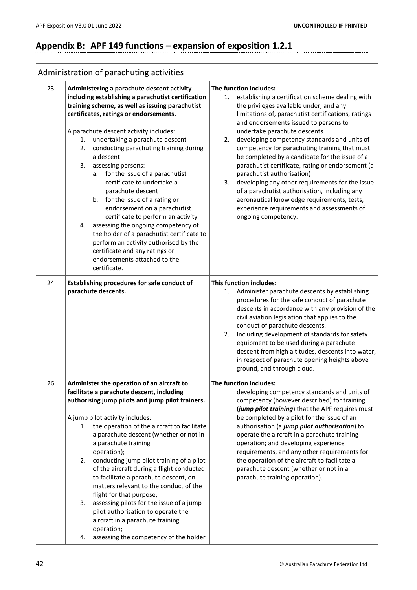# <span id="page-43-0"></span>**Appendix B: APF 149 functions – expansion of exposition 1.2.1**

<span id="page-43-1"></span>

|    | Administration of parachuting activities                                                                                                                                                                                                                                                                                                                                                                                                                                                                                                                                                                                                                                                                                                                                                |                                                                                                                                                                                                                                                                                                                                                                                                                                                                                                                                                                                                                                                                                                                                       |
|----|-----------------------------------------------------------------------------------------------------------------------------------------------------------------------------------------------------------------------------------------------------------------------------------------------------------------------------------------------------------------------------------------------------------------------------------------------------------------------------------------------------------------------------------------------------------------------------------------------------------------------------------------------------------------------------------------------------------------------------------------------------------------------------------------|---------------------------------------------------------------------------------------------------------------------------------------------------------------------------------------------------------------------------------------------------------------------------------------------------------------------------------------------------------------------------------------------------------------------------------------------------------------------------------------------------------------------------------------------------------------------------------------------------------------------------------------------------------------------------------------------------------------------------------------|
| 23 | Administering a parachute descent activity<br>including establishing a parachutist certification<br>training scheme, as well as issuing parachutist<br>certificates, ratings or endorsements.<br>A parachute descent activity includes:<br>1. undertaking a parachute descent<br>2. conducting parachuting training during<br>a descent<br>3. assessing persons:<br>a. for the issue of a parachutist<br>certificate to undertake a<br>parachute descent<br>b. for the issue of a rating or<br>endorsement on a parachutist<br>certificate to perform an activity<br>assessing the ongoing competency of<br>4.<br>the holder of a parachutist certificate to<br>perform an activity authorised by the<br>certificate and any ratings or<br>endorsements attached to the<br>certificate. | The function includes:<br>establishing a certification scheme dealing with<br>1.<br>the privileges available under, and any<br>limitations of, parachutist certifications, ratings<br>and endorsements issued to persons to<br>undertake parachute descents<br>developing competency standards and units of<br>2.<br>competency for parachuting training that must<br>be completed by a candidate for the issue of a<br>parachutist certificate, rating or endorsement (a<br>parachutist authorisation)<br>developing any other requirements for the issue<br>3.<br>of a parachutist authorisation, including any<br>aeronautical knowledge requirements, tests,<br>experience requirements and assessments of<br>ongoing competency. |
| 24 | Establishing procedures for safe conduct of<br>parachute descents.                                                                                                                                                                                                                                                                                                                                                                                                                                                                                                                                                                                                                                                                                                                      | <b>This function includes:</b><br>Administer parachute descents by establishing<br>1.<br>procedures for the safe conduct of parachute<br>descents in accordance with any provision of the<br>civil aviation legislation that applies to the<br>conduct of parachute descents.<br>Including development of standards for safety<br>2.<br>equipment to be used during a parachute<br>descent from high altitudes, descents into water,<br>in respect of parachute opening heights above<br>ground, and through cloud.                                                                                                                                                                                                                   |
| 26 | Administer the operation of an aircraft to<br>facilitate a parachute descent, including<br>authorising jump pilots and jump pilot trainers.<br>A jump pilot activity includes:<br>the operation of the aircraft to facilitate<br>1.<br>a parachute descent (whether or not in<br>a parachute training<br>operation);<br>conducting jump pilot training of a pilot<br>2.<br>of the aircraft during a flight conducted<br>to facilitate a parachute descent, on<br>matters relevant to the conduct of the<br>flight for that purpose;<br>assessing pilots for the issue of a jump<br>3.<br>pilot authorisation to operate the<br>aircraft in a parachute training<br>operation;<br>assessing the competency of the holder<br>4.                                                           | The function includes:<br>developing competency standards and units of<br>competency (however described) for training<br>(jump pilot training) that the APF requires must<br>be completed by a pilot for the issue of an<br>authorisation (a jump pilot authorisation) to<br>operate the aircraft in a parachute training<br>operation; and developing experience<br>requirements, and any other requirements for<br>the operation of the aircraft to facilitate a<br>parachute descent (whether or not in a<br>parachute training operation).                                                                                                                                                                                        |